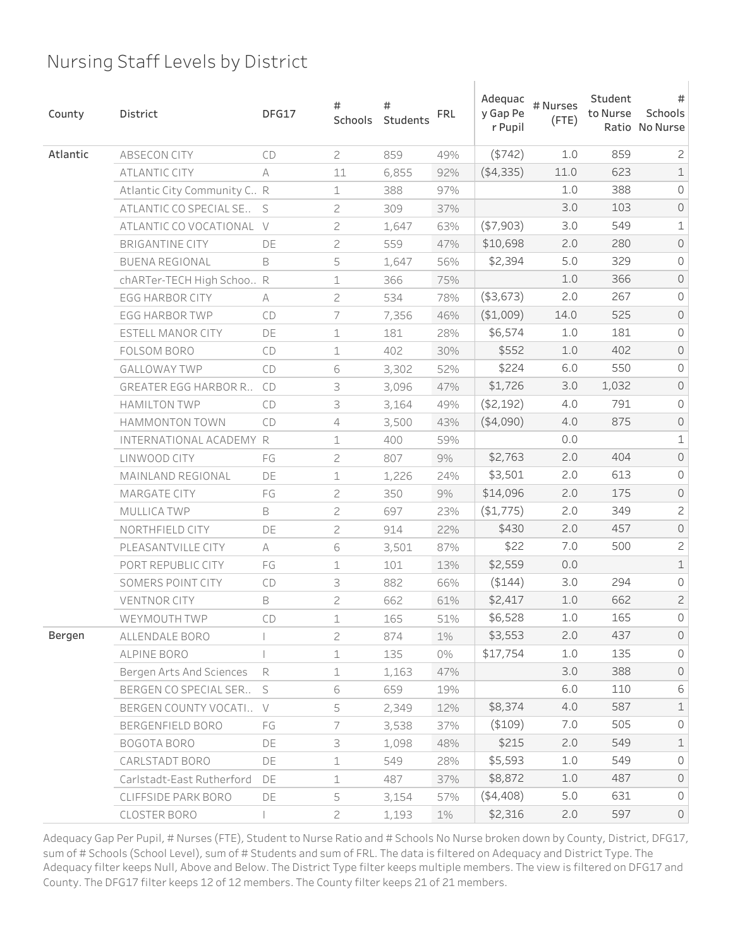| County   | District                     | DFG17  | #<br>Schools   | #<br>Students | <b>FRL</b> | Adequac<br>y Gap Pe<br>r Pupil | # Nurses<br>$($ FTE $)$ | Student<br>to Nurse | #<br>Schools<br>Ratio No Nurse |
|----------|------------------------------|--------|----------------|---------------|------------|--------------------------------|-------------------------|---------------------|--------------------------------|
| Atlantic | <b>ABSECON CITY</b>          | CD     | $\mathbf{Z}$   | 859           | 49%        | (5742)                         | 1.0                     | 859                 | $\mathbf{Z}$                   |
|          | <b>ATLANTIC CITY</b>         | А      | 11             | 6,855         | 92%        | (4,335)                        | 11.0                    | 623                 | $\mathbbm{1}$                  |
|          | Atlantic City Community C. R |        | 1              | 388           | 97%        |                                | 1.0                     | 388                 | 0                              |
|          | ATLANTIC CO SPECIAL SE       | S      | $\mathbf{Z}$   | 309           | 37%        |                                | 3.0                     | 103                 | $\mathsf O$                    |
|          | ATLANTIC CO VOCATIONAL       | $\vee$ | $\mathbf{Z}$   | 1,647         | 63%        | ( \$7,903)                     | 3.0                     | 549                 | $\mathbf 1$                    |
|          | <b>BRIGANTINE CITY</b>       | DE     | 2              | 559           | 47%        | \$10,698                       | 2.0                     | 280                 | $\mathsf{O}$                   |
|          | <b>BUENA REGIONAL</b>        | B      | 5              | 1,647         | 56%        | \$2,394                        | 5.0                     | 329                 | 0                              |
|          | chARTer-TECH High Schoo R    |        | 1              | 366           | 75%        |                                | 1.0                     | 366                 | $\mathsf O$                    |
|          | <b>EGG HARBOR CITY</b>       | А      | $\mathbf{Z}$   | 534           | 78%        | ( \$3,673)                     | 2.0                     | 267                 | 0                              |
|          | <b>EGG HARBOR TWP</b>        | CD     | 7              | 7,356         | 46%        | ( \$1,009)                     | 14.0                    | 525                 | $\mathsf{O}$                   |
|          | ESTELL MANOR CITY            | DE     | 1              | 181           | 28%        | \$6,574                        | 1.0                     | 181                 | 0                              |
|          | FOLSOM BORO                  | CD     | 1              | 402           | 30%        | \$552                          | 1.0                     | 402                 | $\mathsf O$                    |
|          | <b>GALLOWAY TWP</b>          | CD     | 6              | 3,302         | 52%        | \$224                          | 6.0                     | 550                 | 0                              |
|          | <b>GREATER EGG HARBOR R</b>  | CD     | 3              | 3,096         | 47%        | \$1,726                        | 3.0                     | 1,032               | $\mathsf O$                    |
|          | <b>HAMILTON TWP</b>          | CD     | 3              | 3,164         | 49%        | ( \$2,192)                     | 4.0                     | 791                 | 0                              |
|          | <b>HAMMONTON TOWN</b>        | CD     | 4              | 3,500         | 43%        | ( \$4,090)                     | 4.0                     | 875                 | $\mathsf O$                    |
|          | INTERNATIONAL ACADEMY R      |        | 1              | 400           | 59%        |                                | 0.0                     |                     | $\mathbf 1$                    |
|          | LINWOOD CITY                 | FG     | $\mathbf{Z}$   | 807           | 9%         | \$2,763                        | 2.0                     | 404                 | $\mathsf O$                    |
|          | MAINLAND REGIONAL            | DE     | 1              | 1,226         | 24%        | \$3,501                        | 2.0                     | 613                 | 0                              |
|          | <b>MARGATE CITY</b>          | FG     | $\mathbf{Z}$   | 350           | 9%         | \$14,096                       | 2.0                     | 175                 | $\mathsf O$                    |
|          | <b>MULLICA TWP</b>           | B      | $\overline{c}$ | 697           | 23%        | (\$1,775)                      | 2.0                     | 349                 | $\mathsf{S}$                   |
|          | NORTHFIELD CITY              | DE     | $\mathbf{Z}$   | 914           | 22%        | \$430                          | 2.0                     | 457                 | $\mathsf O$                    |
|          | PLEASANTVILLE CITY           | A      | 6              | 3,501         | 87%        | \$22                           | 7.0                     | 500                 | $\mathsf{S}$                   |
|          | PORT REPUBLIC CITY           | FG     | 1              | 101           | 13%        | \$2,559                        | 0.0                     |                     | $\mathbf 1$                    |
|          | SOMERS POINT CITY            | CD     | 3              | 882           | 66%        | ( \$144)                       | 3.0                     | 294                 | $\mathsf O$                    |
|          | <b>VENTNOR CITY</b>          | B      | $\mathbf{Z}$   | 662           | 61%        | \$2,417                        | 1.0                     | 662                 | $\mathbf{Z}$                   |
|          | WEYMOUTH TWP                 | CD     | 1              | 165           | 51%        | \$6,528                        | 1.0                     | 165                 | 0                              |
| Bergen   | ALLENDALE BORO               |        | $\overline{c}$ | 874           | $1\%$      | \$3,553                        | 2.0                     | 437                 | $\mathsf{O}$                   |
|          | ALPINE BORO                  |        | $\mathbf 1$    | 135           | 0%         | \$17,754                       | $1.0$                   | 135                 | $\circ$                        |
|          | Bergen Arts And Sciences     | R      | $\perp$        | 1,163         | 47%        |                                | 3.0                     | 388                 | $\overline{O}$                 |
|          | BERGEN CO SPECIAL SER        | S      | 6              | 659           | 19%        |                                | 6.0                     | 110                 | 6                              |
|          | BERGEN COUNTY VOCATI         | $\vee$ | 5              | 2,349         | 12%        | \$8,374                        | 4.0                     | 587                 | $\mathbf 1$                    |
|          | BERGENFIELD BORO             | FG     | 7              | 3,538         | 37%        | ( \$109)                       | 7.0                     | 505                 | $\mathsf{O}\xspace$            |
|          | <b>BOGOTA BORO</b>           | DE     | 3              | 1,098         | 48%        | \$215                          | 2.0                     | 549                 | $\mathbf 1$                    |
|          | CARLSTADT BORO               | DE     | $\perp$        | 549           | 28%        | \$5,593                        | 1.0                     | 549                 | $\mathsf{O}$                   |
|          | Carlstadt-East Rutherford    | DE     | 1              | 487           | 37%        | \$8,872                        | $1.0$                   | 487                 | $\circlearrowright$            |
|          | CLIFFSIDE PARK BORO          | DE     | 5              | 3,154         | 57%        | (4,408)                        | 5.0                     | 631                 | $\mathsf{O}\xspace$            |
|          | CLOSTER BORO                 |        | $\overline{c}$ | 1,193         | $1\%$      | \$2,316                        | 2.0                     | 597                 | $\mathsf{O}$                   |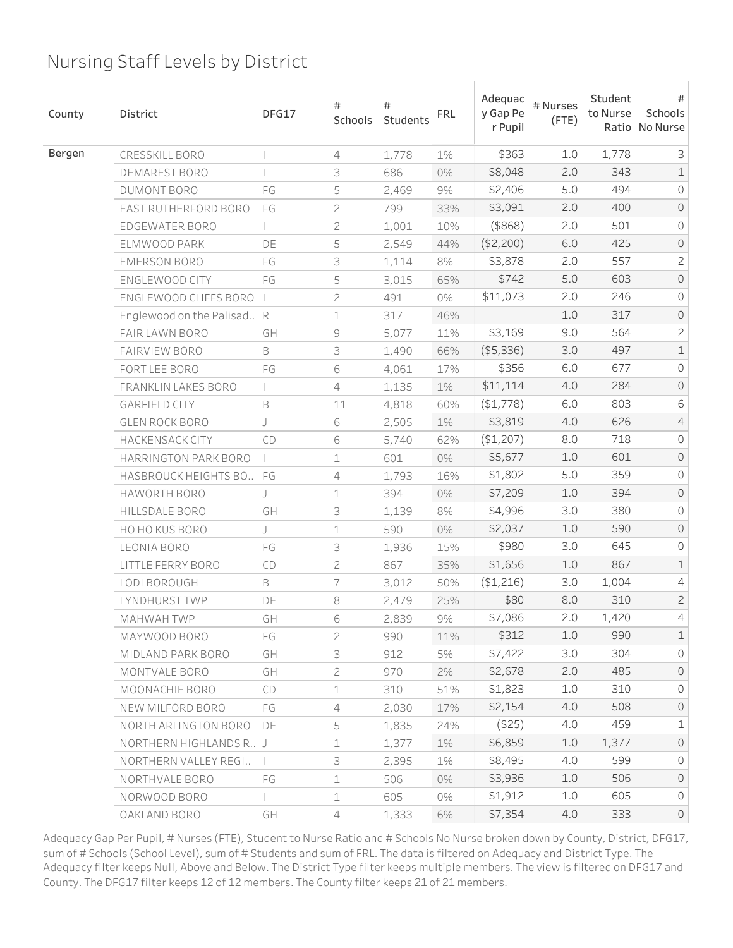| County | District                   | DFG17 | #<br>Schools | #<br>Students | <b>FRL</b> | Adequac<br>y Gap Pe<br>r Pupil | # Nurses<br>$($ FTE $)$ | Student<br>to Nurse | #<br>Schools<br>Ratio No Nurse |
|--------|----------------------------|-------|--------------|---------------|------------|--------------------------------|-------------------------|---------------------|--------------------------------|
| Bergen | CRESSKILL BORO             |       | 4            | 1,778         | $1\%$      | \$363                          | 1.0                     | 1,778               | 3                              |
|        | DEMAREST BORO              |       | 3            | 686           | 0%         | \$8,048                        | 2.0                     | 343                 | $\mathbf 1$                    |
|        | DUMONT BORO                | FG    | 5            | 2,469         | $9\%$      | \$2,406                        | 5.0                     | 494                 | $\overline{0}$                 |
|        | EAST RUTHERFORD BORO       | FG    | 2            | 799           | 33%        | \$3,091                        | 2.0                     | 400                 | $\mathsf O$                    |
|        | EDGEWATER BORO             |       | 2            | 1,001         | 10%        | $($ \$868 $)$                  | 2.0                     | 501                 | 0                              |
|        | ELMWOOD PARK               | DE    | 5            | 2,549         | 44%        | (\$2,200)                      | 6.0                     | 425                 | $\mathsf O$                    |
|        | <b>EMERSON BORO</b>        | FG    | 3            | 1,114         | 8%         | \$3,878                        | 2.0                     | 557                 | $\mathbf{Z}$                   |
|        | ENGLEWOOD CITY             | FG    | 5            | 3,015         | 65%        | \$742                          | 5.0                     | 603                 | $\mathsf O$                    |
|        | ENGLEWOOD CLIFFS BORO      |       | 2            | 491           | 0%         | \$11,073                       | 2.0                     | 246                 | 0                              |
|        | Englewood on the Palisad R |       | 1            | 317           | 46%        |                                | $1.0$                   | 317                 | $\mathsf O$                    |
|        | FAIR LAWN BORO             | GH    | 9            | 5,077         | 11%        | \$3,169                        | 9.0                     | 564                 | $\mathsf{S}$                   |
|        | <b>FAIRVIEW BORO</b>       | B     | 3            | 1,490         | 66%        | ( \$5,336)                     | 3.0                     | 497                 | $\mathbbm{1}$                  |
|        | FORT LEE BORO              | FG    | 6            | 4,061         | 17%        | \$356                          | 6.0                     | 677                 | 0                              |
|        | FRANKLIN LAKES BORO        |       | 4            | 1,135         | $1\%$      | \$11,114                       | 4.0                     | 284                 | $\mathsf{O}$                   |
|        | <b>GARFIELD CITY</b>       | B     | 11           | 4,818         | 60%        | ( \$1,778)                     | 6.0                     | 803                 | 6                              |
|        | <b>GLEN ROCK BORO</b>      | J     | 6            | 2,505         | 1%         | \$3,819                        | 4.0                     | 626                 | $\overline{4}$                 |
|        | <b>HACKENSACK CITY</b>     | CD    | 6            | 5,740         | 62%        | (\$1,207)                      | 8.0                     | 718                 | 0                              |
|        | HARRINGTON PARK BORO       |       | $\mathbf 1$  | 601           | $0\%$      | \$5,677                        | $1.0$                   | 601                 | $\mathsf{O}$                   |
|        | HASBROUCK HEIGHTS BO., FG  |       | 4            | 1,793         | 16%        | \$1,802                        | 5.0                     | 359                 | 0                              |
|        | HAWORTH BORO               | J     | $\mathbf 1$  | 394           | 0%         | \$7,209                        | $1.0$                   | 394                 | $\mathsf{O}$                   |
|        | HILLSDALE BORO             | GH    | 3            | 1,139         | 8%         | \$4,996                        | 3.0                     | 380                 | 0                              |
|        | HO HO KUS BORO             | J     | $\mathbf 1$  | 590           | 0%         | \$2,037                        | 1.0                     | 590                 | $\mathsf{O}$                   |
|        | LEONIA BORO                | FG    | 3            | 1,936         | 15%        | \$980                          | 3.0                     | 645                 | 0                              |
|        | LITTLE FERRY BORO          | CD    | 2            | 867           | 35%        | \$1,656                        | $1.0$                   | 867                 | $\mathbf 1$                    |
|        | LODI BOROUGH               | B     | 7            | 3,012         | 50%        | (\$1,216)                      | 3.0                     | 1,004               | 4                              |
|        | LYNDHURST TWP              | DE    | 8            | 2,479         | 25%        | \$80                           | 8.0                     | 310                 | $\mathbf{Z}$                   |
|        | MAHWAH TWP                 | GH    | 6            | 2,839         | 9%         | \$7,086                        | 2.0                     | 1,420               | $\overline{4}$                 |
|        | MAYWOOD BORO               | FG    | 2            | 990           | 11%        | \$312                          | 1.0                     | 990                 | $\mathbf 1$                    |
|        | MIDLAND PARK BORO          | GH    | 3            | 912           | 5%         | \$7,422                        | 3.0                     | 304                 | $\mathsf{O}\xspace$            |
|        | MONTVALE BORO              | GH    | $\mathbf{2}$ | 970           | 2%         | \$2,678                        | 2.0                     | 485                 | $\circ$                        |
|        | MOONACHIE BORO             | CD    | $\mathbf 1$  | 310           | 51%        | \$1,823                        | 1.0                     | 310                 | $\mathsf{O}\xspace$            |
|        | NEW MILFORD BORO           | FG    | 4            | 2,030         | 17%        | \$2,154                        | 4.0                     | 508                 | $\circ$                        |
|        | NORTH ARLINGTON BORO       | DE    | 5            | 1,835         | 24%        | $($ \$25)                      | 4.0                     | 459                 | $\mathbf 1$                    |
|        | NORTHERN HIGHLANDS R., J   |       | $\mathbf 1$  | 1,377         | $1\%$      | \$6,859                        | 1.0                     | 1,377               | $\circ$                        |
|        | NORTHERN VALLEY REGI       |       | 3            | 2,395         | 1%         | \$8,495                        | 4.0                     | 599                 | $\mathsf{O}\xspace$            |
|        | NORTHVALE BORO             | FG    | $\mathbf 1$  | 506           | 0%         | \$3,936                        | 1.0                     | 506                 | $\mathsf{O}$                   |
|        | NORWOOD BORO               |       | $\mathbf 1$  | 605           | 0%         | \$1,912                        | 1.0                     | 605                 | $\circ$                        |
|        | OAKLAND BORO               | GH    | 4            | 1,333         | 6%         | \$7,354                        | 4.0                     | 333                 | $\circ$                        |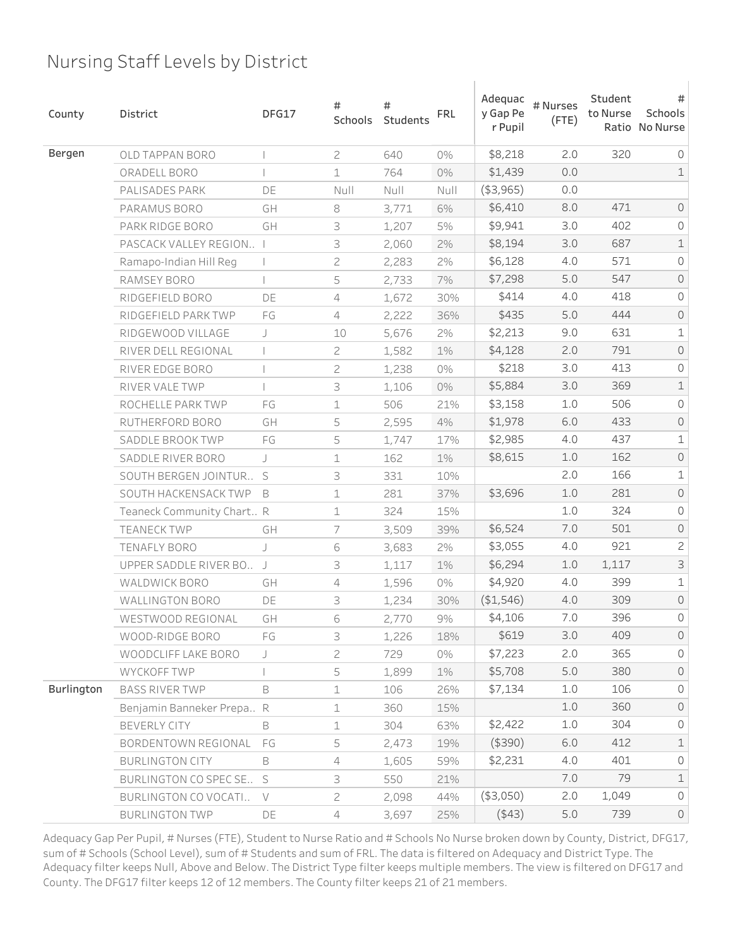| County     | District                  | DFG17          | #<br>Schools   | #<br>Students | <b>FRL</b> | Adequac<br>y Gap Pe<br>r Pupil | # Nurses<br>$($ FTE $)$ | Student<br>to Nurse | #<br>Schools<br>Ratio No Nurse |
|------------|---------------------------|----------------|----------------|---------------|------------|--------------------------------|-------------------------|---------------------|--------------------------------|
| Bergen     | <b>OLD TAPPAN BORO</b>    |                | $\overline{c}$ | 640           | 0%         | \$8,218                        | 2.0                     | 320                 | 0                              |
|            | ORADELL BORO              |                | $\mathbf 1$    | 764           | 0%         | \$1,439                        | 0.0                     |                     | $\mathbf 1$                    |
|            | PALISADES PARK            | DE             | $N$ ull        | Null          | Null       | ( \$3,965)                     | 0.0                     |                     |                                |
|            | PARAMUS BORO              | GH             | 8              | 3,771         | 6%         | \$6,410                        | 8.0                     | 471                 | $\mathsf{O}$                   |
|            | PARK RIDGE BORO           | GH             | 3              | 1,207         | 5%         | \$9,941                        | 3.0                     | 402                 | 0                              |
|            | PASCACK VALLEY REGION I   |                | 3              | 2,060         | 2%         | \$8,194                        | 3.0                     | 687                 | $\mathbbm{1}$                  |
|            | Ramapo-Indian Hill Reg    |                | $\mathbf{2}$   | 2,283         | 2%         | \$6,128                        | 4.0                     | 571                 | 0                              |
|            | RAMSEY BORO               |                | 5              | 2,733         | 7%         | \$7,298                        | 5.0                     | 547                 | $\mathsf O$                    |
|            | RIDGEFIELD BORO           | DE             | $\overline{4}$ | 1,672         | 30%        | \$414                          | 4.0                     | 418                 | 0                              |
|            | RIDGEFIELD PARK TWP       | FG             | 4              | 2,222         | 36%        | \$435                          | 5.0                     | 444                 | $\mathsf O$                    |
|            | RIDGEWOOD VILLAGE         | J              | 10             | 5,676         | 2%         | \$2,213                        | 9.0                     | 631                 | $\mathbf 1$                    |
|            | RIVER DELL REGIONAL       |                | 2              | 1,582         | $1\%$      | \$4,128                        | 2.0                     | 791                 | $\mathsf O$                    |
|            | RIVER EDGE BORO           |                | 2              | 1,238         | 0%         | \$218                          | 3.0                     | 413                 | 0                              |
|            | RIVER VALE TWP            |                | 3              | 1,106         | $0\%$      | \$5,884                        | 3.0                     | 369                 | $\mathbbm{1}$                  |
|            | ROCHELLE PARK TWP         | FG             | 1              | 506           | 21%        | \$3,158                        | 1.0                     | 506                 | 0                              |
|            | RUTHERFORD BORO           | GH             | 5              | 2,595         | 4%         | \$1,978                        | 6.0                     | 433                 | $\mathsf{O}$                   |
|            | SADDLE BROOK TWP          | FG             | 5              | 1,747         | 17%        | \$2,985                        | 4.0                     | 437                 | $\mathbf 1$                    |
|            | SADDLE RIVER BORO         | J              | $\mathbf 1$    | 162           | $1\%$      | \$8,615                        | 1.0                     | 162                 | $\mathsf{O}$                   |
|            | SOUTH BERGEN JOINTUR      | S              | 3              | 331           | 10%        |                                | 2.0                     | 166                 | $\mathbf 1$                    |
|            | SOUTH HACKENSACK TWP      | B              | $\mathbf 1$    | 281           | 37%        | \$3,696                        | $1.0$                   | 281                 | $\mathsf{O}$                   |
|            | Teaneck Community Chart R |                | $\mathbf 1$    | 324           | 15%        |                                | 1.0                     | 324                 | 0                              |
|            | <b>TEANECK TWP</b>        | GH             | 7              | 3,509         | 39%        | \$6,524                        | 7.0                     | 501                 | $\mathsf{O}$                   |
|            | <b>TENAFLY BORO</b>       | J              | 6              | 3,683         | 2%         | \$3,055                        | 4.0                     | 921                 | $\mathbf{Z}$                   |
|            | UPPER SADDLE RIVER BO     | $\overline{1}$ | 3              | 1,117         | 1%         | \$6,294                        | $1.0$                   | 1,117               | $\mathsf S$                    |
|            | <b>WALDWICK BORO</b>      | GH             | 4              | 1,596         | 0%         | \$4,920                        | 4.0                     | 399                 | $\mathbf 1$                    |
|            | <b>WALLINGTON BORO</b>    | DE             | 3              | 1,234         | 30%        | (\$1,546)                      | 4.0                     | 309                 | $\mathsf{O}$                   |
|            | WESTWOOD REGIONAL         | GH             | 6              | 2,770         | 9%         | \$4,106                        | 7.0                     | 396                 | $\mathsf O$                    |
|            | WOOD-RIDGE BORO           | FG             | 3              | 1,226         | 18%        | \$619                          | 3.0                     | 409                 | $\circ$                        |
|            | WOODCLIFF LAKE BORO       | J              | $\sqrt{2}$     | 729           | 0%         | \$7,223                        | 2.0                     | 365                 | $\mathsf{O}\xspace$            |
|            | WYCKOFF TWP               |                | 5              | 1,899         | $1\%$      | \$5,708                        | 5.0                     | 380                 | $\circ$                        |
| Burlington | <b>BASS RIVER TWP</b>     | B              | $\mathbf 1$    | 106           | 26%        | \$7,134                        | 1.0                     | 106                 | $\mathsf{O}\xspace$            |
|            | Benjamin Banneker Prepa R |                | $\mathbf 1$    | 360           | 15%        |                                | $1.0$                   | 360                 | $\circ$                        |
|            | BEVERLY CITY              | B              | $\perp$        | 304           | 63%        | \$2,422                        | 1.0                     | 304                 | 0                              |
|            | BORDENTOWN REGIONAL       | FG             | 5              | 2,473         | 19%        | $($ \$390)                     | 6.0                     | 412                 | $\mathbf 1$                    |
|            | <b>BURLINGTON CITY</b>    | B              | $\overline{4}$ | 1,605         | 59%        | \$2,231                        | 4.0                     | 401                 | $\mathsf{O}\xspace$            |
|            | BURLINGTON CO SPEC SE S   |                | 3              | 550           | 21%        |                                | 7.0                     | 79                  | $\mathbf 1$                    |
|            | BURLINGTON CO VOCATI      | $\vee$         | $\mathbf{Z}$   | 2,098         | 44%        | (\$3,050)                      | 2.0                     | 1,049               | $\circ$                        |
|            | <b>BURLINGTON TWP</b>     | DE             | $\overline{4}$ | 3,697         | 25%        | (443)                          | $5.0$                   | 739                 | $\mathsf{O}$                   |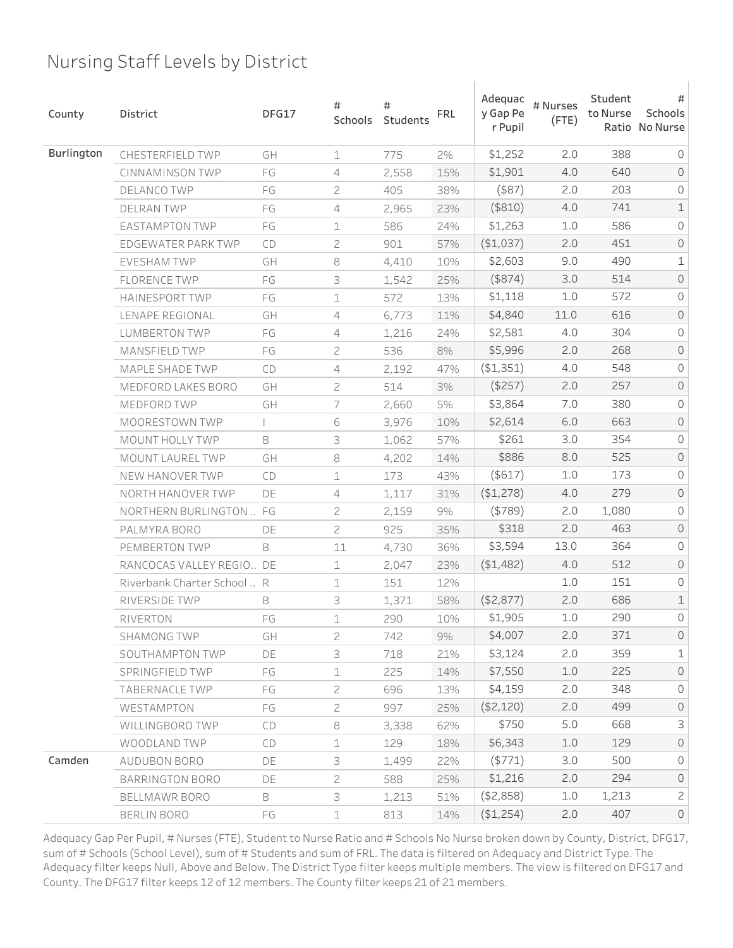| County     | <b>District</b>             | DFG17 | #<br>Schools   | #<br>Students | <b>FRL</b> | Adequac<br>y Gap Pe<br>r Pupil | # Nurses<br>$($ FTE $)$ | Student<br>to Nurse | #<br>Schools<br>Ratio No Nurse |
|------------|-----------------------------|-------|----------------|---------------|------------|--------------------------------|-------------------------|---------------------|--------------------------------|
| Burlington | CHESTERFIELD TWP            | GH    | $\mathbf 1$    | 775           | 2%         | \$1,252                        | 2.0                     | 388                 | $\circ$                        |
|            | CINNAMINSON TWP             | FG    | 4              | 2,558         | 15%        | \$1,901                        | 4.0                     | 640                 | $\mathsf{O}$                   |
|            | <b>DELANCO TWP</b>          | FG    | 2              | 405           | 38%        | $($ \$87 $)$                   | 2.0                     | 203                 | 0                              |
|            | <b>DELRAN TWP</b>           | FG    | 4              | 2,965         | 23%        | (\$810)                        | 4.0                     | 741                 | $\mathbf 1$                    |
|            | <b>EASTAMPTON TWP</b>       | FG    | 1              | 586           | 24%        | \$1,263                        | 1.0                     | 586                 | 0                              |
|            | EDGEWATER PARK TWP          | CD    | 2              | 901           | 57%        | (\$1,037)                      | 2.0                     | 451                 | $\mathsf{O}$                   |
|            | <b>EVESHAM TWP</b>          | GH    | 8              | 4,410         | 10%        | \$2,603                        | 9.0                     | 490                 | $\mathbf 1$                    |
|            | <b>FLORENCE TWP</b>         | FG    | 3              | 1,542         | 25%        | $($ \$874 $)$                  | 3.0                     | 514                 | $\mathsf O$                    |
|            | <b>HAINESPORT TWP</b>       | FG    | 1              | 572           | 13%        | \$1,118                        | 1.0                     | 572                 | 0                              |
|            | LENAPE REGIONAL             | GH    | 4              | 6,773         | 11%        | \$4,840                        | 11.0                    | 616                 | $\mathsf{O}$                   |
|            | <b>LUMBERTON TWP</b>        | FG    | $\overline{4}$ | 1,216         | 24%        | \$2,581                        | 4.0                     | 304                 | 0                              |
|            | <b>MANSFIELD TWP</b>        | FG    | $\sqrt{2}$     | 536           | 8%         | \$5,996                        | 2.0                     | 268                 | $\mathsf O$                    |
|            | MAPLE SHADE TWP             | CD    | 4              | 2,192         | 47%        | ( \$1,351)                     | 4.0                     | 548                 | 0                              |
|            | <b>MEDFORD LAKES BORO</b>   | GH    | $\sqrt{2}$     | 514           | 3%         | $($ \$257 $)$                  | 2.0                     | 257                 | $\mathsf O$                    |
|            | MEDFORD TWP                 | GH    | 7              | 2,660         | 5%         | \$3,864                        | 7.0                     | 380                 | 0                              |
|            | MOORESTOWN TWP              |       | 6              | 3,976         | 10%        | \$2,614                        | 6.0                     | 663                 | $\mathsf O$                    |
|            | MOUNT HOLLY TWP             | B     | 3              | 1,062         | 57%        | \$261                          | 3.0                     | 354                 | 0                              |
|            | MOUNT LAUREL TWP            | GH    | 8              | 4,202         | 14%        | \$886                          | 8.0                     | 525                 | $\mathsf O$                    |
|            | NEW HANOVER TWP             | CD    | 1              | 173           | 43%        | $($ \$617 $)$                  | 1.0                     | 173                 | 0                              |
|            | NORTH HANOVER TWP           | DE    | $\sqrt{4}$     | 1,117         | 31%        | (\$1,278)                      | 4.0                     | 279                 | $\mathsf O$                    |
|            | NORTHERN BURLINGTON  FG     |       | 2              | 2,159         | $9\%$      | $($ \$789 $)$                  | 2.0                     | 1,080               | 0                              |
|            | PALMYRA BORO                | DE    | $\overline{c}$ | 925           | 35%        | \$318                          | 2.0                     | 463                 | $\mathsf{O}$                   |
|            | PEMBERTON TWP               | B     | 11             | 4,730         | 36%        | \$3,594                        | 13.0                    | 364                 | 0                              |
|            | RANCOCAS VALLEY REGIO DE    |       | $\mathbf 1$    | 2,047         | 23%        | (\$1,482)                      | 4.0                     | 512                 | $\mathsf{O}$                   |
|            | Riverbank Charter School  R |       | $\mathbf 1$    | 151           | 12%        |                                | 1.0                     | 151                 | 0                              |
|            | RIVERSIDE TWP               | B     | 3              | 1,371         | 58%        | ( \$2,877)                     | 2.0                     | 686                 | $\mathbf 1$                    |
|            | RIVERTON                    | FG    | 1              | 290           | 10%        | \$1,905                        | 1.0                     | 290                 | 0                              |
|            | SHAMONG TWP                 | GH    | $\overline{c}$ | 742           | 9%         | \$4,007                        | 2.0                     | 371                 | $\circ$                        |
|            | SOUTHAMPTON TWP             | DE    | 3              | 718           | 21%        | \$3,124                        | 2.0                     | 359                 | $\mathbf 1$                    |
|            | SPRINGFIELD TWP             | FG    | $\mathbf 1$    | 225           | 14%        | \$7,550                        | 1.0                     | 225                 | $\circ$                        |
|            | TABERNACLE TWP              | FG    | $\mathbf{2}$   | 696           | 13%        | \$4,159                        | 2.0                     | 348                 | $\circ$                        |
|            | WESTAMPTON                  | FG    | $\overline{c}$ | 997           | 25%        | (\$2,120)                      | 2.0                     | 499                 | $\circ$                        |
|            | WILLINGBORO TWP             | CD    | $\rm 8$        | 3,338         | 62%        | \$750                          | 5.0                     | 668                 | 3                              |
|            | WOODLAND TWP                | CD    | $\mathbf 1$    | 129           | 18%        | \$6,343                        | 1.0                     | 129                 | $\circ$                        |
| Camden     | AUDUBON BORO                | DE    | 3              | 1,499         | 22%        | (5771)                         | 3.0                     | 500                 | $\mathsf{O}\xspace$            |
|            | BARRINGTON BORO             | DE    | $\mathbf{Z}$   | 588           | 25%        | \$1,216                        | 2.0                     | 294                 | $\circ$                        |
|            | BELLMAWR BORO               | B     | 3              | 1,213         | 51%        | ( \$2,858)                     | 1.0                     | 1,213               | $\overline{c}$                 |
|            | BERLIN BORO                 | FG    | $\mathbf 1$    | 813           | 14%        | (\$1,254)                      | 2.0                     | 407                 | $\mathsf{O}$                   |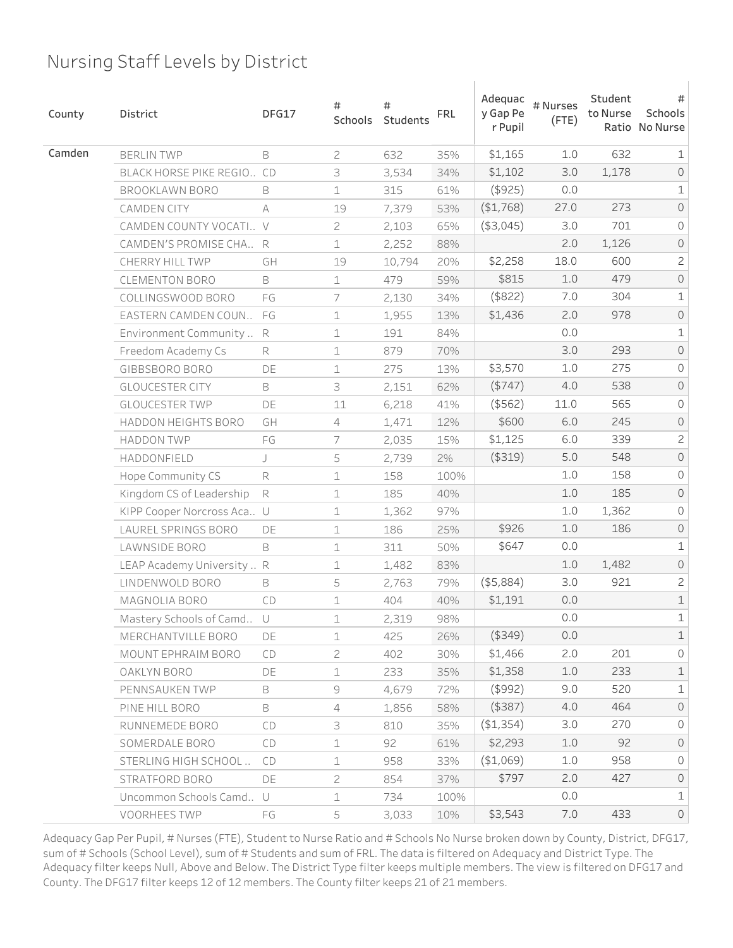| County | <b>District</b>            | DFG17  | #<br>Schools   | #<br>Students | <b>FRL</b> | Adequac<br>y Gap Pe<br>r Pupil | # Nurses<br>$($ FTE $)$ | Student<br>to Nurse | #<br>Schools<br>Ratio No Nurse |
|--------|----------------------------|--------|----------------|---------------|------------|--------------------------------|-------------------------|---------------------|--------------------------------|
| Camden | <b>BERLIN TWP</b>          | B      | $\overline{c}$ | 632           | 35%        | \$1,165                        | 1.0                     | 632                 | $\mathbf 1$                    |
|        | BLACK HORSE PIKE REGIO CD  |        | 3              | 3,534         | 34%        | \$1,102                        | 3.0                     | 1,178               | $\mathsf O$                    |
|        | BROOKLAWN BORO             | B      | $\mathbf 1$    | 315           | 61%        | $($ \$925)                     | 0.0                     |                     | $\mathbf 1$                    |
|        | CAMDEN CITY                | A      | 19             | 7,379         | 53%        | (\$1,768)                      | 27.0                    | 273                 | $\mathsf O$                    |
|        | CAMDEN COUNTY VOCATI V     |        | $\overline{c}$ | 2,103         | 65%        | ( \$3,045)                     | 3.0                     | 701                 | 0                              |
|        | CAMDEN'S PROMISE CHA R     |        | $\perp$        | 2,252         | 88%        |                                | 2.0                     | 1,126               | $\mathsf O$                    |
|        | CHERRY HILL TWP            | GH     | 19             | 10,794        | 20%        | \$2,258                        | 18.0                    | 600                 | $\mathbf{Z}$                   |
|        | <b>CLEMENTON BORO</b>      | B      | $\perp$        | 479           | 59%        | \$815                          | $1.0$                   | 479                 | $\mathsf O$                    |
|        | COLLINGSWOOD BORO          | FG     | 7              | 2,130         | 34%        | $($ \$822)                     | 7.0                     | 304                 | $\mathbf 1$                    |
|        | EASTERN CAMDEN COUN        | FG     | 1              | 1,955         | 13%        | \$1,436                        | 2.0                     | 978                 | $\mathsf{O}\xspace$            |
|        | Environment Community  R   |        | $\mathbf 1$    | 191           | 84%        |                                | 0.0                     |                     | $\mathbf 1$                    |
|        | Freedom Academy Cs         | R      | 1              | 879           | 70%        |                                | 3.0                     | 293                 | $\mathsf O$                    |
|        | GIBBSBORO BORO             | DE     | $\mathbf 1$    | 275           | 13%        | \$3,570                        | 1.0                     | 275                 | 0                              |
|        | <b>GLOUCESTER CITY</b>     | B      | 3              | 2,151         | 62%        | ( \$747)                       | 4.0                     | 538                 | $\mathsf O$                    |
|        | <b>GLOUCESTER TWP</b>      | DE     | 11             | 6,218         | 41%        | $($ \$562)                     | 11.0                    | 565                 | 0                              |
|        | HADDON HEIGHTS BORO        | GH     | $\overline{4}$ | 1,471         | 12%        | \$600                          | 6.0                     | 245                 | $\mathsf O$                    |
|        | <b>HADDON TWP</b>          | FG     | 7              | 2,035         | 15%        | \$1,125                        | 6.0                     | 339                 | $\mathsf{S}$                   |
|        | HADDONFIELD                | J      | 5              | 2,739         | $2\%$      | ( \$319)                       | 5.0                     | 548                 | $\mathsf O$                    |
|        | Hope Community CS          | R      | $\perp$        | 158           | 100%       |                                | 1.0                     | 158                 | 0                              |
|        | Kingdom CS of Leadership   | R      | 1              | 185           | 40%        |                                | 1.0                     | 185                 | $\mathsf{O}$                   |
|        | KIPP Cooper Norcross Aca U |        | $\perp$        | 1,362         | 97%        |                                | 1.0                     | 1,362               | 0                              |
|        | LAUREL SPRINGS BORO        | DE     | 1              | 186           | 25%        | \$926                          | 1.0                     | 186                 | $\mathsf{O}$                   |
|        | LAWNSIDE BORO              | B      | $\mathbf 1$    | 311           | 50%        | \$647                          | 0.0                     |                     | $\mathbf 1$                    |
|        | LEAP Academy University  R |        | 1              | 1,482         | 83%        |                                | 1.0                     | 1,482               | $\mathsf{O}$                   |
|        | LINDENWOLD BORO            | B      | 5              | 2,763         | 79%        | $($ \$5,884 $)$                | 3.0                     | 921                 | $\mathbf{Z}$                   |
|        | MAGNOLIA BORO              | CD     | 1              | 404           | 40%        | \$1,191                        | 0.0                     |                     | $\mathbbm{1}$                  |
|        | Mastery Schools of Camd    | $\cup$ | 1              | 2,319         | 98%        |                                | 0.0                     |                     | $\mathbf 1$                    |
|        | MERCHANTVILLE BORO         | DE     | $\mathbf 1$    | 425           | 26%        | $($ \$349)                     | 0.0                     |                     | $\mathbbm{1}$                  |
|        | MOUNT EPHRAIM BORO         | CD     | $\overline{c}$ | 402           | 30%        | \$1,466                        | 2.0                     | 201                 | $\mathsf{O}\xspace$            |
|        | OAKLYN BORO                | DE     | $\mathbf 1$    | 233           | 35%        | \$1,358                        | 1.0                     | 233                 | $\mathbf 1$                    |
|        | PENNSAUKEN TWP             | B      | $\mathcal G$   | 4,679         | 72%        | $($ \$992)                     | 9.0                     | 520                 | $\mathbf 1$                    |
|        | PINE HILL BORO             | B      | 4              | 1,856         | 58%        | $($ \$387 $)$                  | 4.0                     | 464                 | $\mathsf{O}$                   |
|        | RUNNEMEDE BORO             | CD     | 3              | 810           | 35%        | ( \$1,354)                     | 3.0                     | 270                 | $\mathsf{O}\xspace$            |
|        | SOMERDALE BORO             | CD     | $\perp$        | 92            | 61%        | \$2,293                        | 1.0                     | 92                  | $\circ$                        |
|        | STERLING HIGH SCHOOL       | CD     | $\mathbf 1$    | 958           | 33%        | (\$1,069)                      | 1.0                     | 958                 | $\mathsf{O}\xspace$            |
|        | STRATFORD BORO             | DE     | $\mathbf{2}$   | 854           | 37%        | \$797                          | 2.0                     | 427                 | $\circ$                        |
|        | Uncommon Schools Camd U    |        | $\mathbf 1$    | 734           | 100%       |                                | 0.0                     |                     | $\mathbf 1$                    |
|        | VOORHEES TWP               | FG     | 5              | 3,033         | 10%        | \$3,543                        | $7.0$                   | 433                 | $\mathsf{O}$                   |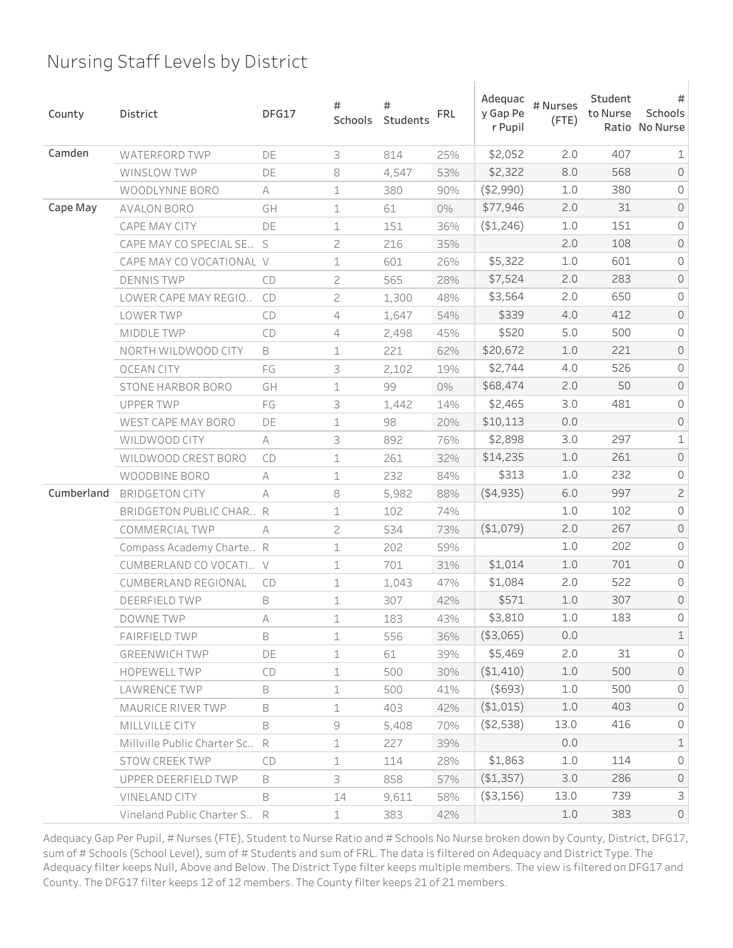| County     | District                        | DFG17 | #<br>Schools   | #<br>Students | <b>FRL</b> | Adequac<br>y Gap Pe<br>r Pupil | # Nurses<br>$($ FTE $)$ | Student<br>to Nurse | #<br>Schools<br>Ratio No Nurse |
|------------|---------------------------------|-------|----------------|---------------|------------|--------------------------------|-------------------------|---------------------|--------------------------------|
| Camden     | <b>WATERFORD TWP</b>            | DE    | 3              | 814           | 25%        | \$2,052                        | 2.0                     | 407                 | 1                              |
|            | WINSLOW TWP                     | DE    | 8              | 4,547         | 53%        | \$2,322                        | 8.0                     | 568                 | $\mathsf{O}$                   |
|            | WOODLYNNE BORO                  | A     | 1              | 380           | 90%        | ( \$2,990)                     | 1.0                     | 380                 | 0                              |
| Cape May   | <b>AVALON BORO</b>              | GH    | 1              | 61            | 0%         | \$77,946                       | 2.0                     | 31                  | $\mathsf O$                    |
|            | CAPE MAY CITY                   | DE    | 1              | 151           | 36%        | (\$1,246)                      | 1.0                     | 151                 | 0                              |
|            | CAPE MAY CO SPECIAL SE S        |       | 2              | 216           | 35%        |                                | 2.0                     | 108                 | $\mathsf{O}$                   |
|            | CAPE MAY CO VOCATIONAL V        |       | 1              | 601           | 26%        | \$5,322                        | 1.0                     | 601                 | 0                              |
|            | <b>DENNIS TWP</b>               | CD    | $\mathbf{Z}$   | 565           | 28%        | \$7,524                        | 2.0                     | 283                 | $\mathsf O$                    |
|            | LOWER CAPE MAY REGIO            | CD    | 2              | 1,300         | 48%        | \$3,564                        | 2.0                     | 650                 | 0                              |
|            | LOWER TWP                       | CD    | $\overline{4}$ | 1,647         | 54%        | \$339                          | 4.0                     | 412                 | $\mathsf{O}$                   |
|            | MIDDLE TWP                      | CD    | 4              | 2,498         | 45%        | \$520                          | 5.0                     | 500                 | 0                              |
|            | NORTH WILDWOOD CITY             | B     | 1              | 221           | 62%        | \$20,672                       | 1.0                     | 221                 | $\mathsf O$                    |
|            | <b>OCEAN CITY</b>               | FG    | 3              | 2,102         | 19%        | \$2,744                        | 4.0                     | 526                 | 0                              |
|            | STONE HARBOR BORO               | GH    | $\mathbf 1$    | 99            | 0%         | \$68,474                       | 2.0                     | 50                  | $\mathsf O$                    |
|            | <b>UPPER TWP</b>                | FG    | 3              | 1,442         | 14%        | \$2,465                        | 3.0                     | 481                 | 0                              |
|            | WEST CAPE MAY BORO              | DE    | 1              | 98            | 20%        | \$10,113                       | 0.0                     |                     | $\mathsf O$                    |
|            | WILDWOOD CITY                   | A     | 3              | 892           | 76%        | \$2,898                        | 3.0                     | 297                 | $\mathbf 1$                    |
|            | WILDWOOD CREST BORO             | CD    | 1              | 261           | 32%        | \$14,235                       | 1.0                     | 261                 | $\mathsf O$                    |
|            | WOODBINE BORO                   | A     | 1              | 232           | 84%        | \$313                          | 1.0                     | 232                 | 0                              |
| Cumberland | <b>BRIDGETON CITY</b>           | А     | 8              | 5,982         | 88%        | (4,935)                        | 6.0                     | 997                 | $\mathbf{Z}$                   |
|            | BRIDGETON PUBLIC CHAR R         |       | 1              | 102           | 74%        |                                | 1.0                     | 102                 | $\mathsf O$                    |
|            | COMMERCIAL TWP                  | A     | 2              | 534           | 73%        | ( \$1,079)                     | 2.0                     | 267                 | $\mathsf{O}$                   |
|            | Compass Academy Charte R        |       | 1              | 202           | 59%        |                                | 1.0                     | 202                 | 0                              |
|            | CUMBERLAND CO VOCATI V          |       | 1              | 701           | 31%        | \$1,014                        | 1.0                     | 701                 | $\mathsf{O}$                   |
|            | <b>CUMBERLAND REGIONAL</b>      | CD    | 1              | 1,043         | 47%        | \$1,084                        | 2.0                     | 522                 | 0                              |
|            | <b>DEERFIELD TWP</b>            | B     | 1              | 307           | 42%        | \$571                          | 1.0                     | 307                 | $\mathsf{O}$                   |
|            | DOWNE TWP                       | A     | 1              | 183           | 43%        | \$3,810                        | 1.0                     | 183                 | 0                              |
|            | <b>FAIRFIELD TWP</b>            | B     | 1              | 556           | 36%        | ( \$3,065)                     | 0.0                     |                     | $\mathbbm{1}$                  |
|            | <b>GREENWICH TWP</b>            | DE    | $\mathbf 1$    | 61            | 39%        | \$5,469                        | 2.0                     | 31                  | $\circ$                        |
|            | <b>HOPEWELL TWP</b>             | CD    | 1              | 500           | 30%        | (\$1,410)                      | 1.0                     | 500                 | $\circ$                        |
|            | LAWRENCE TWP                    | B     | $\perp$        | 500           | 41%        | $($ \$693)                     | 1.0                     | 500                 | $\circ$                        |
|            | MAURICE RIVER TWP               | B     | $\mathbf 1$    | 403           | 42%        | (\$1,015)                      | 1.0                     | 403                 | $\circ$                        |
|            | MILLVILLE CITY                  | B     | 9              | 5,408         | 70%        | ( \$2,538)                     | 13.0                    | 416                 | $\circledcirc$                 |
|            | Millyille Public Charter Sc., R |       | 1              | 227           | 39%        |                                | 0.0                     |                     | $\mathbf 1$                    |
|            | STOW CREEK TWP                  | CD    | $\perp$        | 114           | 28%        | \$1,863                        | 1.0                     | 114                 | $\mathsf{O}$                   |
|            | UPPER DEERFIELD TWP             | B     | 3              | 858           | 57%        | ( \$1,357)                     | 3.0                     | 286                 | $\circledcirc$                 |
|            | VINELAND CITY                   | B     | 14             | 9,611         | 58%        | $($ \$3,156)                   | 13.0                    | 739                 | $\mathsf 3$                    |
|            | Vineland Public Charter S R     |       | $\perp$        | 383           | 42%        |                                | 1.0                     | 383                 | $\circlearrowright$            |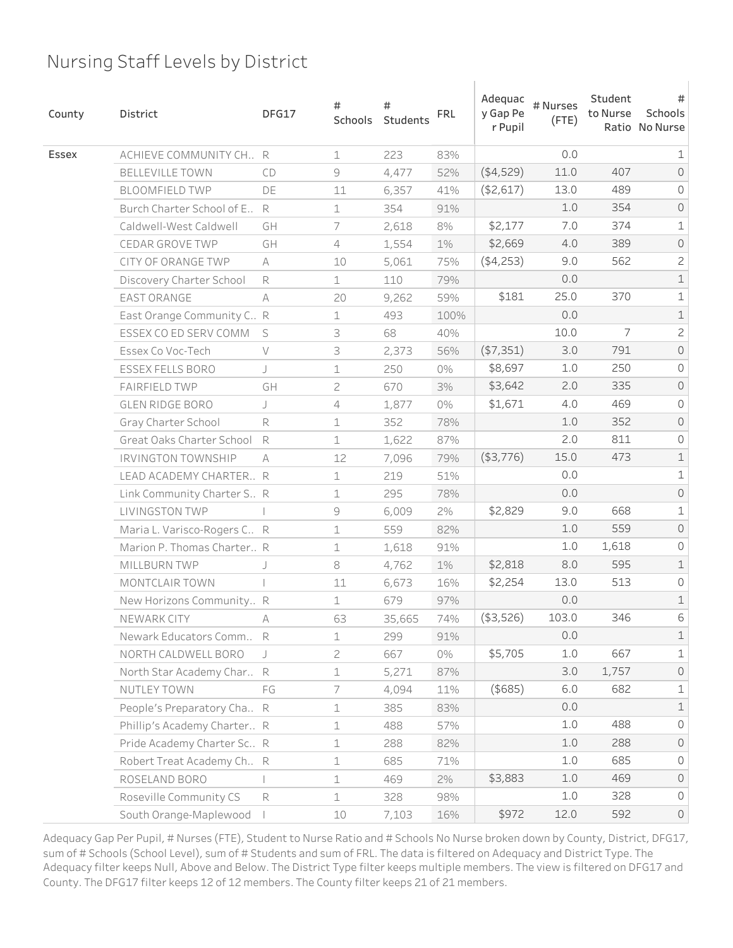| County | District                     | DFG17     | #<br>Schools   | #<br>Students | <b>FRL</b> | Adequac<br>y Gap Pe<br>r Pupil | # Nurses<br>$($ FTE $)$ | Student<br>to Nurse | #<br>Schools<br>Ratio No Nurse |
|--------|------------------------------|-----------|----------------|---------------|------------|--------------------------------|-------------------------|---------------------|--------------------------------|
| Essex  | ACHIEVE COMMUNITY CH., R     |           | $\mathbf 1$    | 223           | 83%        |                                | 0.0                     |                     | 1                              |
|        | BELLEVILLE TOWN              | CD        | 9              | 4,477         | 52%        | (4,529)                        | 11.0                    | 407                 | $\mathsf O$                    |
|        | <b>BLOOMFIELD TWP</b>        | DE        | 11             | 6,357         | 41%        | ( \$2,617)                     | 13.0                    | 489                 | $\circ$                        |
|        | Burch Charter School of E. R |           | $\mathbf 1$    | 354           | 91%        |                                | $1.0$                   | 354                 | $\mathsf O$                    |
|        | Caldwell-West Caldwell       | GH        | 7              | 2,618         | 8%         | \$2,177                        | 7.0                     | 374                 | $\mathbf 1$                    |
|        | CEDAR GROVE TWP              | GH        | $\overline{4}$ | 1,554         | 1%         | \$2,669                        | 4.0                     | 389                 | $\mathsf O$                    |
|        | CITY OF ORANGE TWP           | $\forall$ | 10             | 5,061         | 75%        | (4,253)                        | 9.0                     | 562                 | $\mathbf{Z}$                   |
|        | Discovery Charter School     | R         | $\mathbf 1$    | 110           | 79%        |                                | $0.0$                   |                     | $\mathbf 1$                    |
|        | <b>EAST ORANGE</b>           | A         | 20             | 9,262         | 59%        | \$181                          | 25.0                    | 370                 | $\mathbf 1$                    |
|        | East Orange Community C R    |           | $\mathbf 1$    | 493           | 100%       |                                | $0.0$                   |                     | $\mathbf 1$                    |
|        | ESSEX CO ED SERV COMM        | S         | 3              | 68            | 40%        |                                | 10.0                    | 7                   | $\overline{c}$                 |
|        | Essex Co Voc-Tech            | $\vee$    | 3              | 2,373         | 56%        | ( \$7,351)                     | 3.0                     | 791                 | $\mathsf O$                    |
|        | ESSEX FELLS BORO             | J         | $\mathbf 1$    | 250           | 0%         | \$8,697                        | 1.0                     | 250                 | 0                              |
|        | <b>FAIRFIELD TWP</b>         | GH        | 2              | 670           | 3%         | \$3,642                        | 2.0                     | 335                 | $\mathsf O$                    |
|        | GLEN RIDGE BORO              | J         | 4              | 1,877         | 0%         | \$1,671                        | 4.0                     | 469                 | 0                              |
|        | Gray Charter School          | R         | $\mathbf 1$    | 352           | 78%        |                                | 1.0                     | 352                 | $\mathsf{O}$                   |
|        | Great Oaks Charter School    | R         | $\mathbf 1$    | 1,622         | 87%        |                                | 2.0                     | 811                 | 0                              |
|        | <b>IRVINGTON TOWNSHIP</b>    | A         | 12             | 7,096         | 79%        | ( \$3,776)                     | 15.0                    | 473                 | $\mathbf 1$                    |
|        | LEAD ACADEMY CHARTER R       |           | 1              | 219           | 51%        |                                | 0.0                     |                     | $\mathbf 1$                    |
|        | Link Community Charter S R   |           | $\mathbf 1$    | 295           | 78%        |                                | 0.0                     |                     | $\mathsf O$                    |
|        | LIVINGSTON TWP               |           | $\Theta$       | 6,009         | 2%         | \$2,829                        | 9.0                     | 668                 | $\mathbf 1$                    |
|        | Maria L. Varisco-Rogers C R  |           | $\mathbf 1$    | 559           | 82%        |                                | $1.0$                   | 559                 | $\mathsf{O}$                   |
|        | Marion P. Thomas Charter R   |           | $\mathbf 1$    | 1,618         | 91%        |                                | 1.0                     | 1,618               | 0                              |
|        | MILLBURN TWP                 |           | $\,8\,$        | 4,762         | $1\%$      | \$2,818                        | 8.0                     | 595                 | $\mathbf 1$                    |
|        | MONTCLAIR TOWN               |           | 11             | 6,673         | 16%        | \$2,254                        | 13.0                    | 513                 | $\mathsf O$                    |
|        | New Horizons Community R     |           | $\mathbf 1$    | 679           | 97%        |                                | 0.0                     |                     | $\mathbbm{1}$                  |
|        | NEWARK CITY                  | A         | 63             | 35,665        | 74%        | ( \$3,526)                     | 103.0                   | 346                 | 6                              |
|        | Newark Educators Comm        | R         | $\mathbf 1$    | 299           | 91%        |                                | 0.0                     |                     | $\mathbf 1$                    |
|        | NORTH CALDWELL BORO          |           | $\sqrt{2}$     | 667           | 0%         | \$5,705                        | 1.0                     | 667                 | $\mathbf 1$                    |
|        | North Star Academy Char R    |           | $\mathbf 1$    | 5,271         | 87%        |                                | 3.0                     | 1,757               | $\mathsf{O}$                   |
|        | NUTLEY TOWN                  | FG        | 7              | 4,094         | 11%        | $($ \$685 $)$                  | 6.0                     | 682                 | $\mathbf 1$                    |
|        | People's Preparatory Cha R   |           | $\mathbf 1$    | 385           | 83%        |                                | 0.0                     |                     | $\mathbf 1$                    |
|        | Phillip's Academy Charter R  |           | $\perp$        | 488           | 57%        |                                | 1.0                     | 488                 | $\mathsf O$                    |
|        | Pride Academy Charter Sc., R |           | 1              | 288           | 82%        |                                | $1.0$                   | 288                 | $\mathsf{O}$                   |
|        | Robert Treat Academy Ch R    |           | $\perp$        | 685           | 71%        |                                | 1.0                     | 685                 | $\mathsf O$                    |
|        | ROSELAND BORO                |           | $\mathbf 1$    | 469           | 2%         | \$3,883                        | $1.0$                   | 469                 | $\mathsf O$                    |
|        | Roseville Community CS       | R         | $\perp$        | 328           | 98%        |                                | $1.0$                   | 328                 | $\mathsf{O}$                   |
|        | South Orange-Maplewood       |           | 10             | 7,103         | 16%        | \$972                          | 12.0                    | 592                 | $\mathsf{O}$                   |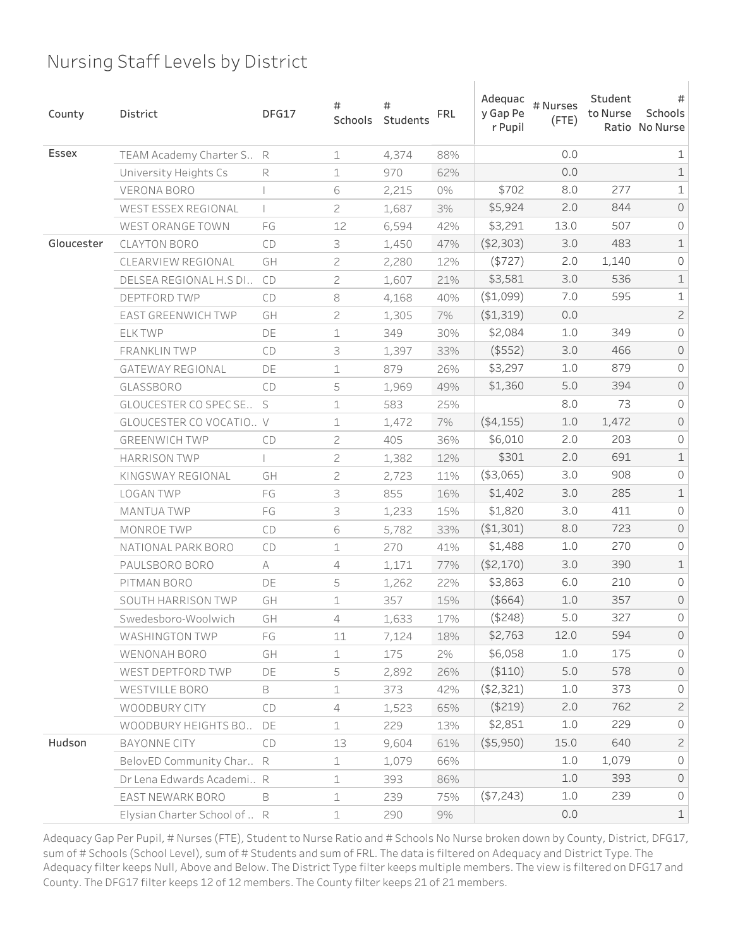| County     | District                     | DFG17                      | #<br>Schools   | #<br>Students | <b>FRL</b> | Adequac<br>y Gap Pe<br>r Pupil | # Nurses<br>$($ FTE $)$ | Student<br>to Nurse | #<br>Schools<br>Ratio No Nurse |
|------------|------------------------------|----------------------------|----------------|---------------|------------|--------------------------------|-------------------------|---------------------|--------------------------------|
| Essex      | TEAM Academy Charter S R     |                            | $\mathbf 1$    | 4,374         | 88%        |                                | 0.0                     |                     | 1                              |
|            | University Heights Cs        | R                          | 1              | 970           | 62%        |                                | 0.0                     |                     | $\mathbf 1$                    |
|            | <b>VERONA BORO</b>           |                            | 6              | 2,215         | 0%         | \$702                          | 8.0                     | 277                 | $\mathbf 1$                    |
|            | WEST ESSEX REGIONAL          |                            | 2              | 1,687         | 3%         | \$5,924                        | 2.0                     | 844                 | $\mathsf O$                    |
|            | WEST ORANGE TOWN             | FG                         | 12             | 6,594         | 42%        | \$3,291                        | 13.0                    | 507                 | 0                              |
| Gloucester | <b>CLAYTON BORO</b>          | CD                         | 3              | 1,450         | 47%        | ( \$2,303)                     | 3.0                     | 483                 | $\mathbf 1$                    |
|            | CLEARVIEW REGIONAL           | GH                         | 2              | 2,280         | 12%        | (\$727)                        | 2.0                     | 1,140               | 0                              |
|            | DELSEA REGIONAL H.S DI       | CD                         | $\mathbf{Z}$   | 1,607         | 21%        | \$3,581                        | 3.0                     | 536                 | $\mathbf 1$                    |
|            | DEPTFORD TWP                 | CD                         | $\,8\,$        | 4,168         | 40%        | ( \$1,099)                     | 7.0                     | 595                 | $\mathbf 1$                    |
|            | EAST GREENWICH TWP           | GH                         | $\mathbf{Z}$   | 1,305         | 7%         | ( \$1,319)                     | 0.0                     |                     | $\overline{c}$                 |
|            | <b>ELK TWP</b>               | DE                         | 1              | 349           | 30%        | \$2,084                        | 1.0                     | 349                 | $\mathsf O$                    |
|            | <b>FRANKLIN TWP</b>          | CD                         | 3              | 1,397         | 33%        | $($ \$552 $)$                  | 3.0                     | 466                 | $\mathsf O$                    |
|            | <b>GATEWAY REGIONAL</b>      | DE                         | 1              | 879           | 26%        | \$3,297                        | 1.0                     | 879                 | $\mathsf O$                    |
|            | <b>GLASSBORO</b>             | CD                         | 5              | 1,969         | 49%        | \$1,360                        | 5.0                     | 394                 | $\mathsf O$                    |
|            | GLOUCESTER CO SPEC SE        | S                          | 1              | 583           | 25%        |                                | 8.0                     | 73                  | 0                              |
|            | GLOUCESTER CO VOCATIO V      |                            | 1              | 1,472         | 7%         | ( \$4,155)                     | 1.0                     | 1,472               | $\mathsf O$                    |
|            | <b>GREENWICH TWP</b>         | CD                         | $\mathbf{Z}$   | 405           | 36%        | \$6,010                        | 2.0                     | 203                 | 0                              |
|            | <b>HARRISON TWP</b>          |                            | $\mathbf{Z}$   | 1,382         | 12%        | \$301                          | 2.0                     | 691                 | $\mathbbm{1}$                  |
|            | KINGSWAY REGIONAL            | GH                         | 2              | 2,723         | 11%        | ( \$3,065)                     | 3.0                     | 908                 | 0                              |
|            | <b>LOGAN TWP</b>             | FG                         | 3              | 855           | 16%        | \$1,402                        | 3.0                     | 285                 | $\mathbf 1$                    |
|            | <b>MANTUA TWP</b>            | FG                         | 3              | 1,233         | 15%        | \$1,820                        | 3.0                     | 411                 | $\mathsf O$                    |
|            | MONROE TWP                   | CD                         | 6              | 5,782         | 33%        | ( \$1,301)                     | 8.0                     | 723                 | $\mathsf O$                    |
|            | NATIONAL PARK BORO           | CD                         | 1              | 270           | 41%        | \$1,488                        | 1.0                     | 270                 | 0                              |
|            | PAULSBORO BORO               | A                          | 4              | 1,171         | 77%        | (\$2,170)                      | 3.0                     | 390                 | $\mathbf 1$                    |
|            | PITMAN BORO                  | DE                         | 5              | 1,262         | 22%        | \$3,863                        | 6.0                     | 210                 | $\mathsf O$                    |
|            | SOUTH HARRISON TWP           | GH                         | 1              | 357           | 15%        | $($ \$664 $)$                  | 1.0                     | 357                 | $\mathsf O$                    |
|            | Swedesboro-Woolwich          | GH                         | 4              | 1,633         | 17%        | $($ \$248)                     | 5.0                     | 327                 | 0                              |
|            | WASHINGTON TWP               | $\mathop{\sf FG}\nolimits$ | 11             | 7,124         | 18%        | \$2,763                        | 12.0                    | 594                 | $\circledcirc$                 |
|            | WENONAH BORO                 | GH                         | $\mathbf 1$    | 175           | 2%         | \$6,058                        | 1.0                     | 175                 | 0                              |
|            | WEST DEPTFORD TWP            | DE                         | 5              | 2,892         | 26%        | ( \$110)                       | 5.0                     | 578                 | $\circ$                        |
|            | WESTVILLE BORO               | B                          | $\perp$        | 373           | 42%        | (\$2,321)                      | 1.0                     | 373                 | $\mathsf O$                    |
|            | WOODBURY CITY                | CD                         | $\overline{4}$ | 1,523         | 65%        | $($ \$219 $)$                  | 2.0                     | 762                 | $\mathbf{Z}$                   |
|            | WOODBURY HEIGHTS BO          | DE                         | $\perp$        | 229           | 13%        | \$2,851                        | 1.0                     | 229                 | $\mathsf{O}$                   |
| Hudson     | BAYONNE CITY                 | CD                         | 13             | 9,604         | 61%        | $($ \$5,950)                   | 15.0                    | 640                 | $\mathbf{2}$                   |
|            | BelovED Community Char R     |                            | $\perp$        | 1,079         | 66%        |                                | 1.0                     | 1,079               | $\mathsf{O}$                   |
|            | Dr Lena Edwards Academi R    |                            | 1              | 393           | 86%        |                                | 1.0                     | 393                 | $\circledcirc$                 |
|            | EAST NEWARK BORO             | B                          | $\perp$        | 239           | 75%        | ( \$7,243)                     | 1.0                     | 239                 | $\mathsf{O}$                   |
|            | Elysian Charter School of  R |                            | $\perp$        | 290           | 9%         |                                | 0.0                     |                     | $\mathbf 1$                    |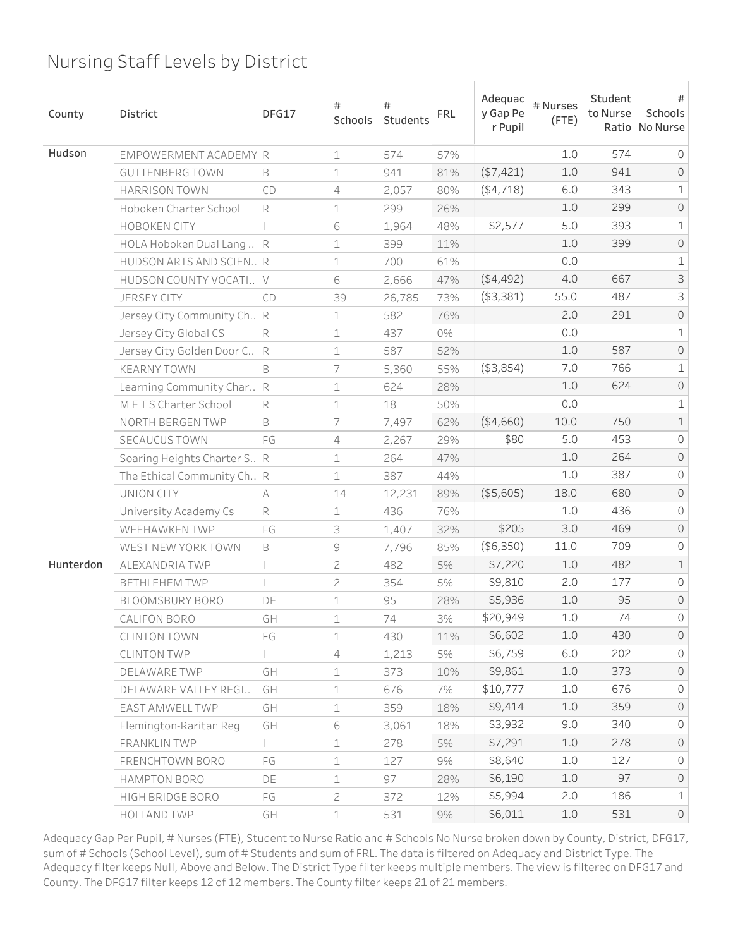| County    | District                      | DFG17 | #<br>Schools | #<br>Students | <b>FRL</b> | Adequac<br>y Gap Pe<br>r Pupil | # Nurses<br>$($ FTE $)$ | Student<br>to Nurse | #<br>Schools<br>Ratio No Nurse |
|-----------|-------------------------------|-------|--------------|---------------|------------|--------------------------------|-------------------------|---------------------|--------------------------------|
| Hudson    | EMPOWERMENT ACADEMY R         |       | $\mathbf 1$  | 574           | 57%        |                                | 1.0                     | 574                 | $\circ$                        |
|           | <b>GUTTENBERG TOWN</b>        | B     | $\mathbf 1$  | 941           | 81%        | (\$7,421)                      | $1.0$                   | 941                 | $\mathsf{O}$                   |
|           | <b>HARRISON TOWN</b>          | CD    | 4            | 2,057         | 80%        | ( \$4, 718)                    | 6.0                     | 343                 | $\mathbf 1$                    |
|           | Hoboken Charter School        | R     | $\mathbf 1$  | 299           | 26%        |                                | $1.0$                   | 299                 | $\mathsf O$                    |
|           | <b>HOBOKEN CITY</b>           |       | 6            | 1,964         | 48%        | \$2,577                        | 5.0                     | 393                 | $\mathbf 1$                    |
|           | HOLA Hoboken Dual Lang  R     |       | $\mathbf 1$  | 399           | 11%        |                                | $1.0$                   | 399                 | $\mathsf O$                    |
|           | HUDSON ARTS AND SCIEN R       |       | 1            | 700           | 61%        |                                | 0.0                     |                     | $\mathbf 1$                    |
|           | HUDSON COUNTY VOCATI V        |       | 6            | 2,666         | 47%        | ( \$4,492)                     | 4.0                     | 667                 | 3                              |
|           | <b>JERSEY CITY</b>            | CD    | 39           | 26,785        | 73%        | ( \$3,381)                     | 55.0                    | 487                 | 3                              |
|           | Jersey City Community Ch R    |       | 1            | 582           | 76%        |                                | 2.0                     | 291                 | $\mathsf O$                    |
|           | Jersey City Global CS         | R     | $\mathbf 1$  | 437           | 0%         |                                | 0.0                     |                     | $\mathbf 1$                    |
|           | Jersey City Golden Door C. R  |       | 1            | 587           | 52%        |                                | $1.0$                   | 587                 | $\mathsf O$                    |
|           | <b>KEARNY TOWN</b>            | B     | 7            | 5,360         | 55%        | $($ \$3,854)                   | 7.0                     | 766                 | $\mathbf 1$                    |
|           | Learning Community Char R     |       | 1            | 624           | 28%        |                                | 1.0                     | 624                 | $\mathsf O$                    |
|           | METS Charter School           | R     | $\mathbf 1$  | 18            | 50%        |                                | 0.0                     |                     | $\mathbf 1$                    |
|           | NORTH BERGEN TWP              | B     | 7            | 7,497         | 62%        | ( \$4,660)                     | 10.0                    | 750                 | $\mathbbm{1}$                  |
|           | SECAUCUS TOWN                 | FG    | 4            | 2,267         | 29%        | \$80                           | 5.0                     | 453                 | 0                              |
|           | Soaring Heights Charter S., R |       | 1            | 264           | 47%        |                                | 1.0                     | 264                 | $\mathsf O$                    |
|           | The Ethical Community Ch R    |       | $\mathbf 1$  | 387           | 44%        |                                | 1.0                     | 387                 | 0                              |
|           | UNION CITY                    | A     | 14           | 12,231        | 89%        | (\$5,605)                      | 18.0                    | 680                 | $\mathsf O$                    |
|           | University Academy Cs         | R     | $\mathbf 1$  | 436           | 76%        |                                | 1.0                     | 436                 | 0                              |
|           | <b>WEEHAWKEN TWP</b>          | FG    | 3            | 1,407         | 32%        | \$205                          | 3.0                     | 469                 | $\mathsf{O}$                   |
|           | WEST NEW YORK TOWN            | B     | 9            | 7,796         | 85%        | (\$6,350)                      | 11.0                    | 709                 | 0                              |
| Hunterdon | ALEXANDRIA TWP                |       | 2            | 482           | $5\%$      | \$7,220                        | $1.0$                   | 482                 | $\mathbbm{1}$                  |
|           | <b>BETHLEHEM TWP</b>          |       | $\mathbf{2}$ | 354           | 5%         | \$9,810                        | 2.0                     | 177                 | 0                              |
|           | BLOOMSBURY BORO               | DE    | 1            | 95            | 28%        | \$5,936                        | $1.0$                   | 95                  | $\mathsf{O}$                   |
|           | CALIFON BORO                  | GH    | 1            | 74            | 3%         | \$20,949                       | 1.0                     | 74                  | 0                              |
|           | <b>CLINTON TOWN</b>           | FG    | $\mathbf 1$  | 430           | 11%        | \$6,602                        | 1.0                     | 430                 | $\mathsf{O}$                   |
|           | <b>CLINTON TWP</b>            |       | 4            | 1,213         | 5%         | \$6,759                        | 6.0                     | 202                 | $\circ$                        |
|           | DELAWARE TWP                  | GH    | $\mathbf 1$  | 373           | 10%        | \$9,861                        | $1.0$                   | 373                 | $\circ$                        |
|           | DELAWARE VALLEY REGI          | GH    | $\mathbf 1$  | 676           | 7%         | \$10,777                       | 1.0                     | 676                 | $\circ$                        |
|           | EAST AMWELL TWP               | GH    | $\mathbf 1$  | 359           | 18%        | \$9,414                        | $1.0$                   | 359                 | $\circ$                        |
|           | Flemington-Raritan Reg        | GH    | 6            | 3,061         | 18%        | \$3,932                        | 9.0                     | 340                 | $\mathsf{O}\xspace$            |
|           | FRANKLIN TWP                  |       | $\mathbf 1$  | 278           | 5%         | \$7,291                        | 1.0                     | 278                 | $\circ$                        |
|           | FRENCHTOWN BORO               | FG    | $\mathbf 1$  | 127           | 9%         | \$8,640                        | 1.0                     | 127                 | $\mathsf{O}\xspace$            |
|           | HAMPTON BORO                  | DE    | $\mathbf 1$  | 97            | 28%        | \$6,190                        | 1.0                     | 97                  | $\circlearrowright$            |
|           | HIGH BRIDGE BORO              | FG    | $\mathbf{2}$ | 372           | 12%        | \$5,994                        | 2.0                     | 186                 | $\mathbf 1$                    |
|           | <b>HOLLAND TWP</b>            | GH    | $\mathbf 1$  | 531           | 9%         | \$6,011                        | 1.0                     | 531                 | $\circlearrowright$            |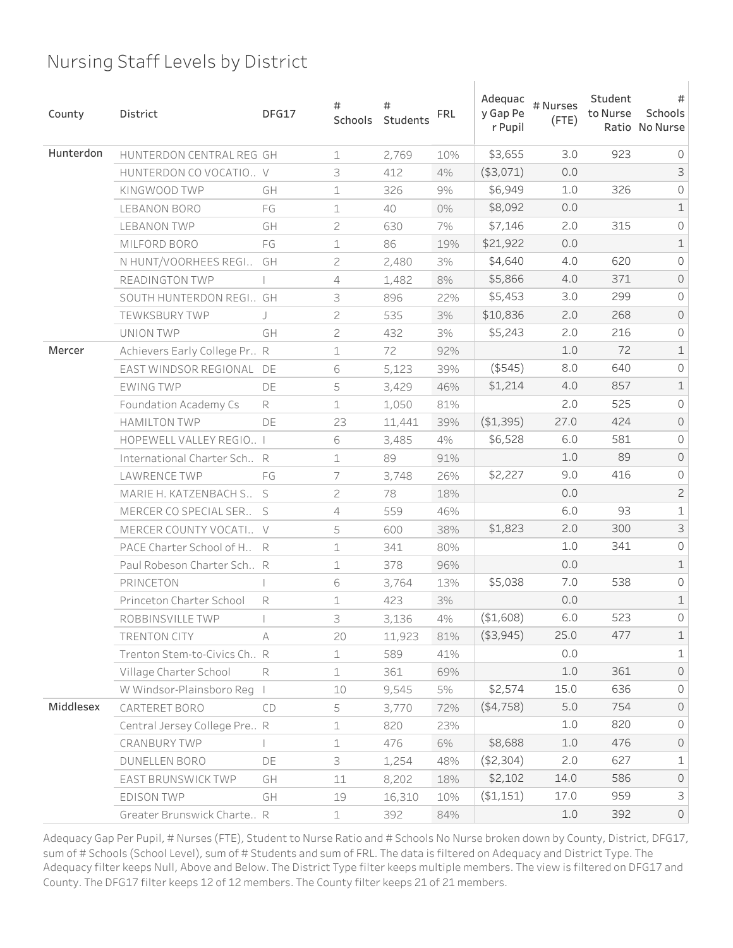| County    | District                      | DFG17 | #<br>Schools   | #<br>Students | <b>FRL</b> | Adequac<br>y Gap Pe<br>r Pupil | # Nurses<br>$($ FTE $)$ | Student<br>to Nurse | #<br>Schools<br>Ratio No Nurse |
|-----------|-------------------------------|-------|----------------|---------------|------------|--------------------------------|-------------------------|---------------------|--------------------------------|
| Hunterdon | HUNTERDON CENTRAL REG GH      |       | $\mathbf 1$    | 2,769         | 10%        | \$3,655                        | 3.0                     | 923                 | $\circ$                        |
|           | HUNTERDON CO VOCATIO V        |       | 3              | 412           | 4%         | $($ \$3,071)                   | 0.0                     |                     | 3                              |
|           | KINGWOOD TWP                  | GH    | $\mathbf 1$    | 326           | 9%         | \$6,949                        | 1.0                     | 326                 | $\mathsf O$                    |
|           | LEBANON BORO                  | FG    | $\mathbf 1$    | 40            | 0%         | \$8,092                        | 0.0                     |                     | $\mathbf 1$                    |
|           | <b>LEBANON TWP</b>            | GH    | $\overline{c}$ | 630           | 7%         | \$7,146                        | 2.0                     | 315                 | 0                              |
|           | MILFORD BORO                  | FG    | $\mathbf 1$    | 86            | 19%        | \$21,922                       | 0.0                     |                     | $\mathbf 1$                    |
|           | N HUNT/VOORHEES REGI          | GH    | 2              | 2,480         | 3%         | \$4,640                        | 4.0                     | 620                 | $\mathsf O$                    |
|           | READINGTON TWP                |       | $\overline{4}$ | 1,482         | $8\%$      | \$5,866                        | 4.0                     | 371                 | $\mathsf O$                    |
|           | SOUTH HUNTERDON REGI GH       |       | 3              | 896           | 22%        | \$5,453                        | 3.0                     | 299                 | 0                              |
|           | TEWKSBURY TWP                 |       | 2              | 535           | 3%         | \$10,836                       | 2.0                     | 268                 | $\mathsf{O}$                   |
|           | UNION TWP                     | GH    | $\overline{c}$ | 432           | 3%         | \$5,243                        | 2.0                     | 216                 | 0                              |
| Mercer    | Achievers Early College Pr R  |       | 1              | 72            | 92%        |                                | 1.0                     | 72                  | $\mathbf 1$                    |
|           | EAST WINDSOR REGIONAL DE      |       | 6              | 5,123         | 39%        | $($ \$545)                     | 8.0                     | 640                 | 0                              |
|           | <b>EWING TWP</b>              | DE    | 5              | 3,429         | 46%        | \$1,214                        | 4.0                     | 857                 | $\mathbf 1$                    |
|           | <b>Foundation Academy Cs</b>  | R     | $\mathbf 1$    | 1,050         | 81%        |                                | 2.0                     | 525                 | $\circ$                        |
|           | <b>HAMILTON TWP</b>           | DE    | 23             | 11,441        | 39%        | (\$1,395)                      | 27.0                    | 424                 | $\mathsf O$                    |
|           | HOPEWELL VALLEY REGIO I       |       | 6              | 3,485         | 4%         | \$6,528                        | 6.0                     | 581                 | 0                              |
|           | International Charter Sch R   |       | 1              | 89            | 91%        |                                | 1.0                     | 89                  | $\mathsf O$                    |
|           | LAWRENCE TWP                  | FG    | 7              | 3,748         | 26%        | \$2,227                        | 9.0                     | 416                 | 0                              |
|           | MARIE H. KATZENBACH S S       |       | 2              | 78            | 18%        |                                | 0.0                     |                     | $\overline{c}$                 |
|           | MERCER CO SPECIAL SER         | S     | $\overline{4}$ | 559           | 46%        |                                | 6.0                     | 93                  | $\mathbf 1$                    |
|           | MERCER COUNTY VOCATI V        |       | 5              | 600           | 38%        | \$1,823                        | 2.0                     | 300                 | $\mathsf 3$                    |
|           | PACE Charter School of H      | R     | 1              | 341           | 80%        |                                | 1.0                     | 341                 | 0                              |
|           | Paul Robeson Charter Sch R    |       | $\mathbf 1$    | 378           | 96%        |                                | 0.0                     |                     | $\mathbf 1$                    |
|           | PRINCETON                     |       | 6              | 3,764         | 13%        | \$5,038                        | 7.0                     | 538                 | $\mathsf O$                    |
|           | Princeton Charter School      | R     | 1              | 423           | 3%         |                                | 0.0                     |                     | $\mathbf 1$                    |
|           | ROBBINSVILLE TWP              |       | 3              | 3,136         | 4%         | ( \$1,608)                     | 6.0                     | 523                 | 0                              |
|           | TRENTON CITY                  | A     | 20             | 11,923        | 81%        | ( \$3, 945)                    | 25.0                    | 477                 | $\ensuremath{\mathbbm{1}}$     |
|           | Trenton Stem-to-Civics Ch., R |       | $\mathbf 1$    | 589           | 41%        |                                | 0.0                     |                     | $\mathbf 1$                    |
|           | Village Charter School        | R     | $\mathbf 1$    | 361           | 69%        |                                | 1.0                     | 361                 | $\mathsf{O}$                   |
|           | W Windsor-Plainsboro Reg      |       | 10             | 9,545         | 5%         | \$2,574                        | 15.0                    | 636                 | 0                              |
| Middlesex | CARTERET BORO                 | CD    | 5              | 3,770         | 72%        | (4,758)                        | 5.0                     | 754                 | $\mathsf{O}$                   |
|           | Central Jersey College Pre R  |       | $\mathbf 1$    | 820           | 23%        |                                | 1.0                     | 820                 | $\circledcirc$                 |
|           | CRANBURY TWP                  |       | $\mathbf 1$    | 476           | 6%         | \$8,688                        | 1.0                     | 476                 | $\circ$                        |
|           | DUNELLEN BORO                 | DE    | 3              | 1,254         | 48%        | (\$2,304)                      | 2.0                     | 627                 | $\mathbf 1$                    |
|           | EAST BRUNSWICK TWP            | GH    | 11             | 8,202         | 18%        | \$2,102                        | 14.0                    | 586                 | $\circledcirc$                 |
|           | EDISON TWP                    | GH    | 19             | 16,310        | 10%        | ( \$1,151)                     | 17.0                    | 959                 | $\mathsf 3$                    |
|           | Greater Brunswick Charte R    |       | $\perp$        | 392           | 84%        |                                | $1.0$                   | 392                 | $\mathsf O$                    |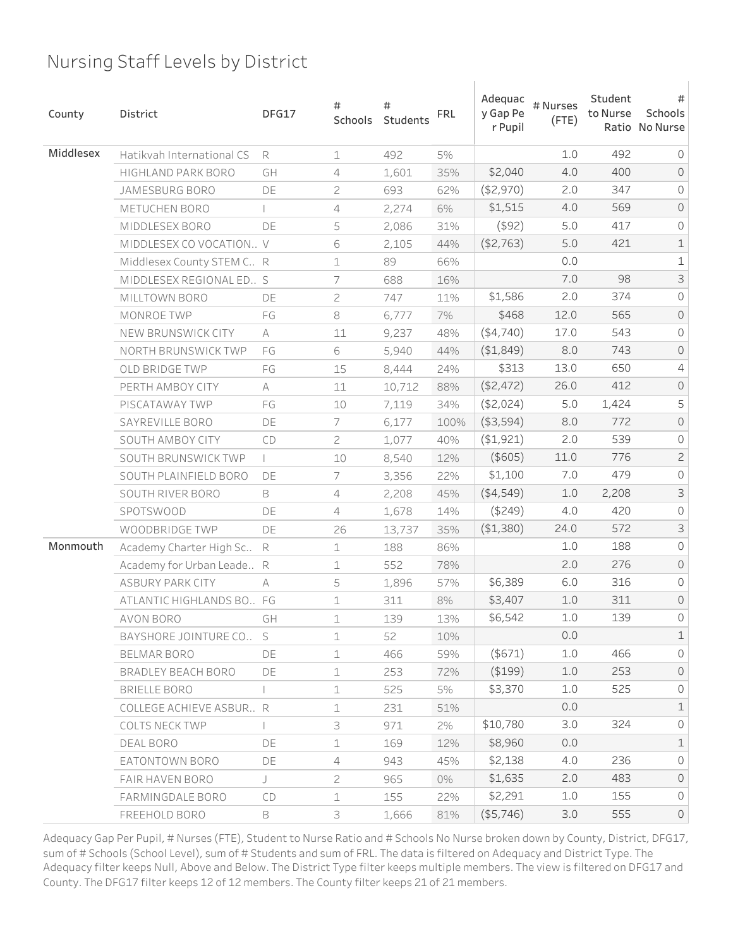| County    | District                       | DFG17 | #<br>Schools   | #<br>Students | <b>FRL</b> | Adequac<br>y Gap Pe<br>r Pupil | # Nurses<br>$($ FTE $)$ | Student<br>to Nurse | #<br>Schools<br>Ratio No Nurse |
|-----------|--------------------------------|-------|----------------|---------------|------------|--------------------------------|-------------------------|---------------------|--------------------------------|
| Middlesex | Hatikvah International CS      | R     | $\mathbf 1$    | 492           | 5%         |                                | 1.0                     | 492                 | $\circ$                        |
|           | HIGHLAND PARK BORO             | GH    | 4              | 1,601         | 35%        | \$2,040                        | 4.0                     | 400                 | $\mathsf{O}$                   |
|           | <b>JAMESBURG BORO</b>          | DE    | $\overline{c}$ | 693           | 62%        | ( \$2,970)                     | 2.0                     | 347                 | 0                              |
|           | METUCHEN BORO                  |       | 4              | 2,274         | 6%         | \$1,515                        | 4.0                     | 569                 | $\mathsf O$                    |
|           | MIDDLESEX BORO                 | DE    | 5              | 2,086         | 31%        | $($ \$92)                      | 5.0                     | 417                 | 0                              |
|           | MIDDLESEX CO VOCATION V        |       | 6              | 2,105         | 44%        | ( \$2,763)                     | 5.0                     | 421                 | $\mathbf 1$                    |
|           | Middlesex County STEM C R      |       | $\mathbf 1$    | 89            | 66%        |                                | 0.0                     |                     | $\mathbf 1$                    |
|           | MIDDLESEX REGIONAL ED S        |       | 7              | 688           | 16%        |                                | 7.0                     | 98                  | $\mathsf 3$                    |
|           | MILLTOWN BORO                  | DE    | $\overline{c}$ | 747           | 11%        | \$1,586                        | 2.0                     | 374                 | $\mathsf O$                    |
|           | MONROE TWP                     | FG    | $\,8\,$        | 6,777         | 7%         | \$468                          | 12.0                    | 565                 | $\mathsf O$                    |
|           | NEW BRUNSWICK CITY             | A     | 11             | 9,237         | 48%        | ( \$4,740)                     | 17.0                    | 543                 | 0                              |
|           | NORTH BRUNSWICK TWP            | FG    | 6              | 5,940         | 44%        | ( \$1,849)                     | 8.0                     | 743                 | $\mathsf O$                    |
|           | OLD BRIDGE TWP                 | FG    | 15             | 8,444         | 24%        | \$313                          | 13.0                    | 650                 | 4                              |
|           | PERTH AMBOY CITY               | А     | 11             | 10,712        | 88%        | ( \$2,472)                     | 26.0                    | 412                 | $\mathsf O$                    |
|           | PISCATAWAY TWP                 | FG    | 10             | 7,119         | 34%        | ( \$2,024)                     | 5.0                     | 1,424               | 5                              |
|           | SAYREVILLE BORO                | DE    | 7              | 6,177         | 100%       | ( \$3,594)                     | 8.0                     | 772                 | $\mathsf O$                    |
|           | SOUTH AMBOY CITY               | CD    | $\overline{c}$ | 1,077         | 40%        | ( \$1,921)                     | 2.0                     | 539                 | 0                              |
|           | SOUTH BRUNSWICK TWP            |       | 10             | 8,540         | 12%        | (\$605)                        | 11.0                    | 776                 | $\overline{c}$                 |
|           | SOUTH PLAINFIELD BORO          | DE    | 7              | 3,356         | 22%        | \$1,100                        | 7.0                     | 479                 | 0                              |
|           | SOUTH RIVER BORO               | B     | 4              | 2,208         | 45%        | ( \$4,549)                     | 1.0                     | 2,208               | $\mathsf 3$                    |
|           | <b>SPOTSWOOD</b>               | DE    | 4              | 1,678         | 14%        | ( \$249)                       | 4.0                     | 420                 | $\mathsf O$                    |
|           | WOODBRIDGE TWP                 | DE    | 26             | 13,737        | 35%        | ( \$1,380)                     | 24.0                    | 572                 | $\mathsf S$                    |
| Monmouth  | Academy Charter High Sc        | R     | 1              | 188           | 86%        |                                | 1.0                     | 188                 | 0                              |
|           | Academy for Urban Leade R      |       | $\perp$        | 552           | 78%        |                                | 2.0                     | 276                 | $\mathsf O$                    |
|           | <b>ASBURY PARK CITY</b>        | A     | 5              | 1,896         | 57%        | \$6,389                        | 6.0                     | 316                 | 0                              |
|           | ATLANTIC HIGHLANDS BO FG       |       | 1              | 311           | 8%         | \$3,407                        | 1.0                     | 311                 | $\mathsf{O}$                   |
|           | AVON BORO                      | GH    | 1              | 139           | 13%        | \$6,542                        | 1.0                     | 139                 | 0                              |
|           | BAYSHORE JOINTURE CO           | S     | $\mathbf 1$    | 52            | 10%        |                                | 0.0                     |                     | $\mathbbm{1}$                  |
|           | BELMAR BORO                    | DE    | $\mathbf 1$    | 466           | 59%        | $($ \$671)                     | 1.0                     | 466                 | $\circ$                        |
|           | BRADLEY BEACH BORO             | DE    | $\perp$        | 253           | 72%        | ( \$199)                       | 1.0                     | 253                 | $\circ$                        |
|           | BRIELLE BORO                   |       | $\mathbf 1$    | 525           | 5%         | \$3,370                        | 1.0                     | 525                 | $\circ$                        |
|           | <b>COLLEGE ACHIEVE ASBUR R</b> |       | $\perp$        | 231           | 51%        |                                | 0.0                     |                     | $\mathbf 1$                    |
|           | <b>COLTS NECK TWP</b>          |       | 3              | 971           | 2%         | \$10,780                       | 3.0                     | 324                 | $\mathsf{O}\xspace$            |
|           | DEAL BORO                      | DE    | $\mathbf 1$    | 169           | 12%        | \$8,960                        | 0.0                     |                     | $\mathbf 1$                    |
|           | EATONTOWN BORO                 | DE    | 4              | 943           | 45%        | \$2,138                        | 4.0                     | 236                 | $\mathsf{O}\xspace$            |
|           | FAIR HAVEN BORO                | J     | $\overline{c}$ | 965           | 0%         | \$1,635                        | 2.0                     | 483                 | $\circ$                        |
|           | FARMINGDALE BORO               | CD    | $\mathbf 1$    | 155           | 22%        | \$2,291                        | 1.0                     | 155                 | $\circ$                        |
|           | FREEHOLD BORO                  | B     | 3              | 1,666         | 81%        | (\$5,746)                      | 3.0                     | 555                 | $\mathsf{O}$                   |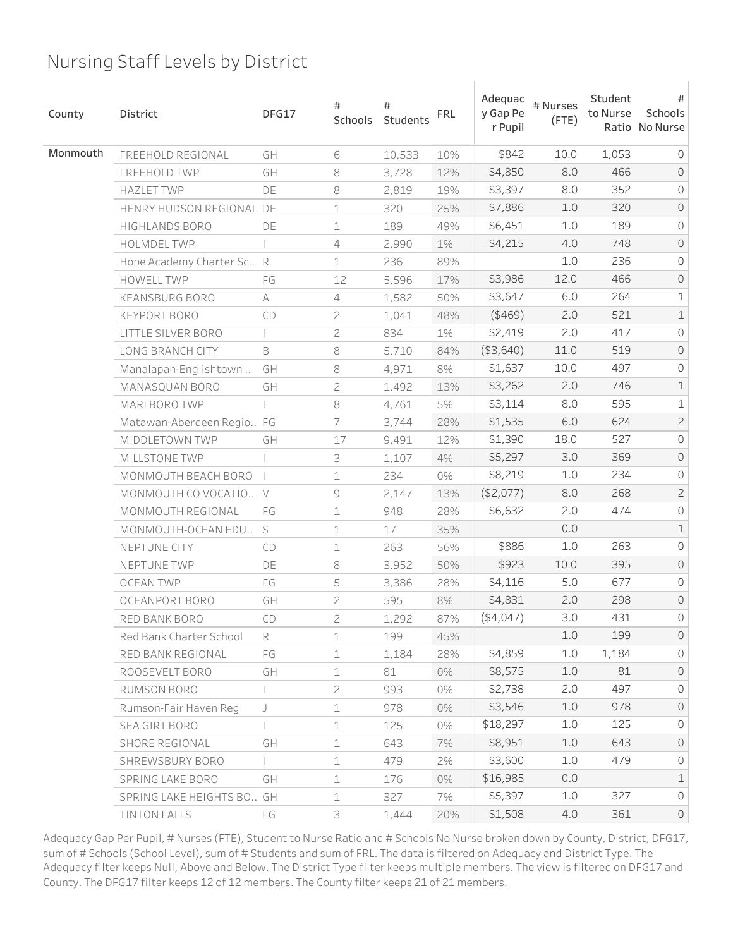| County   | District                  | DFG17        | #<br>Schools   | #<br>Students | <b>FRL</b> | Adequac<br>y Gap Pe<br>r Pupil | # Nurses<br>$($ FTE $)$ | Student<br>to Nurse | #<br>Schools<br>Ratio No Nurse |
|----------|---------------------------|--------------|----------------|---------------|------------|--------------------------------|-------------------------|---------------------|--------------------------------|
| Monmouth | FREEHOLD REGIONAL         | GH           | 6              | 10,533        | 10%        | \$842                          | 10.0                    | 1,053               | $\circ$                        |
|          | FREEHOLD TWP              | GH           | 8              | 3,728         | 12%        | \$4,850                        | 8.0                     | 466                 | $\mathsf{O}$                   |
|          | <b>HAZLET TWP</b>         | DE           | 8              | 2,819         | 19%        | \$3,397                        | 8.0                     | 352                 | 0                              |
|          | HENRY HUDSON REGIONAL DE  |              | $\mathbf 1$    | 320           | 25%        | \$7,886                        | $1.0$                   | 320                 | $\mathsf O$                    |
|          | <b>HIGHLANDS BORO</b>     | DE           | 1              | 189           | 49%        | \$6,451                        | 1.0                     | 189                 | 0                              |
|          | <b>HOLMDEL TWP</b>        |              | 4              | 2,990         | 1%         | \$4,215                        | 4.0                     | 748                 | $\mathsf{O}$                   |
|          | Hope Academy Charter Sc R |              | $\mathbf 1$    | 236           | 89%        |                                | 1.0                     | 236                 | 0                              |
|          | <b>HOWELL TWP</b>         | FG           | 12             | 5,596         | 17%        | \$3,986                        | 12.0                    | 466                 | $\mathsf O$                    |
|          | <b>KEANSBURG BORO</b>     | A            | $\sqrt{4}$     | 1,582         | 50%        | \$3,647                        | 6.0                     | 264                 | $\mathbf 1$                    |
|          | <b>KEYPORT BORO</b>       | CD           | $\sqrt{2}$     | 1,041         | 48%        | $($ \$469)                     | 2.0                     | 521                 | $\mathbf 1$                    |
|          | LITTLE SILVER BORO        |              | $\mathbf{Z}$   | 834           | 1%         | \$2,419                        | 2.0                     | 417                 | 0                              |
|          | LONG BRANCH CITY          | B            | $\rm 8$        | 5,710         | 84%        | ( \$3,640)                     | 11.0                    | 519                 | $\mathsf O$                    |
|          | Manalapan-Englishtown     | GH           | 8              | 4,971         | 8%         | \$1,637                        | 10.0                    | 497                 | 0                              |
|          | MANASQUAN BORO            | GH           | $\sqrt{2}$     | 1,492         | 13%        | \$3,262                        | 2.0                     | 746                 | $\mathbf 1$                    |
|          | MARLBORO TWP              |              | $\,8\,$        | 4,761         | 5%         | \$3,114                        | 8.0                     | 595                 | $\mathbf 1$                    |
|          | Matawan-Aberdeen Regio FG |              | $\overline{7}$ | 3,744         | 28%        | \$1,535                        | $6.0$                   | 624                 | $\overline{c}$                 |
|          | MIDDLETOWN TWP            | GH           | 17             | 9,491         | 12%        | \$1,390                        | 18.0                    | 527                 | 0                              |
|          | <b>MILLSTONE TWP</b>      |              | 3              | 1,107         | 4%         | \$5,297                        | 3.0                     | 369                 | $\mathsf O$                    |
|          | MONMOUTH BEACH BORO       | $\mathbf{I}$ | 1              | 234           | 0%         | \$8,219                        | 1.0                     | 234                 | 0                              |
|          | MONMOUTH CO VOCATIO V     |              | $\mathcal G$   | 2,147         | 13%        | (\$2,077)                      | 8.0                     | 268                 | $\overline{c}$                 |
|          | MONMOUTH REGIONAL         | FG           | $\mathbf 1$    | 948           | 28%        | \$6,632                        | 2.0                     | 474                 | $\mathsf O$                    |
|          | MONMOUTH-OCEAN EDU        | S            | $\mathbf 1$    | 17            | 35%        |                                | 0.0                     |                     | $\mathbf 1$                    |
|          | NEPTUNE CITY              | CD           | 1              | 263           | 56%        | \$886                          | 1.0                     | 263                 | 0                              |
|          | NEPTUNE TWP               | DE           | $\rm 8$        | 3,952         | 50%        | \$923                          | 10.0                    | 395                 | $\mathsf{O}$                   |
|          | <b>OCEAN TWP</b>          | FG           | 5              | 3,386         | 28%        | \$4,116                        | 5.0                     | 677                 | 0                              |
|          | OCEANPORT BORO            | GH           | 2              | 595           | 8%         | \$4,831                        | 2.0                     | 298                 | $\mathsf{O}$                   |
|          | RED BANK BORO             | CD           | 2              | 1,292         | 87%        | ( \$4,047)                     | 3.0                     | 431                 | 0                              |
|          | Red Bank Charter School   | R            | $\mathbf 1$    | 199           | 45%        |                                | 1.0                     | 199                 | $\circ$                        |
|          | RED BANK REGIONAL         | FG           | $\mathbf 1$    | 1,184         | 28%        | \$4,859                        | 1.0                     | 1,184               | $\circ$                        |
|          | ROOSEVELT BORO            | GH           | $\mathbf 1$    | 81            | 0%         | \$8,575                        | $1.0$                   | 81                  | $\circ$                        |
|          | RUMSON BORO               |              | $\mathbf{2}$   | 993           | 0%         | \$2,738                        | 2.0                     | 497                 | $\circ$                        |
|          | Rumson-Fair Haven Reg     | J            | $\mathbf 1$    | 978           | 0%         | \$3,546                        | 1.0                     | 978                 | $\circ$                        |
|          | SEA GIRT BORO             |              | $\mathbf 1$    | 125           | 0%         | \$18,297                       | 1.0                     | 125                 | $\circ$                        |
|          | SHORE REGIONAL            | GH           | $\mathbf 1$    | 643           | 7%         | \$8,951                        | 1.0                     | 643                 | $\circ$                        |
|          | SHREWSBURY BORO           |              | $\mathbf 1$    | 479           | 2%         | \$3,600                        | 1.0                     | 479                 | $\mathsf{O}\xspace$            |
|          | SPRING LAKE BORO          | GH           | $\mathbf 1$    | 176           | 0%         | \$16,985                       | 0.0                     |                     | $\mathbf 1$                    |
|          | SPRING LAKE HEIGHTS BO GH |              | $\mathbf 1$    | 327           | 7%         | \$5,397                        | 1.0                     | 327                 | $\circ$                        |
|          | TINTON FALLS              | FG           | 3              | 1,444         | 20%        | \$1,508                        | 4.0                     | 361                 | $\mathsf{O}$                   |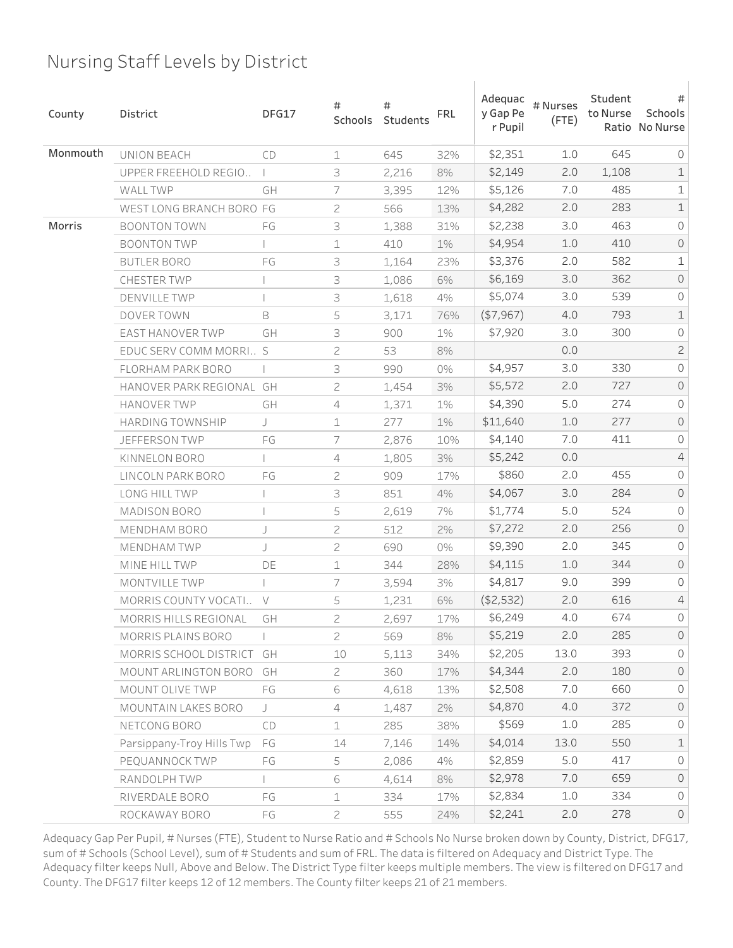| County   | District                  | DFG17          | #<br>Schools   | #<br>Students | <b>FRL</b> | Adequac<br>y Gap Pe<br>r Pupil | # Nurses<br>$($ FTE $)$ | Student<br>to Nurse | #<br>Schools<br>Ratio No Nurse |
|----------|---------------------------|----------------|----------------|---------------|------------|--------------------------------|-------------------------|---------------------|--------------------------------|
| Monmouth | UNION BEACH               | CD             | $\mathbf 1$    | 645           | 32%        | \$2,351                        | 1.0                     | 645                 | 0                              |
|          | UPPER FREEHOLD REGIO      |                | 3              | 2,216         | 8%         | \$2,149                        | 2.0                     | 1,108               | $\mathbf 1$                    |
|          | <b>WALL TWP</b>           | GH             | 7              | 3,395         | 12%        | \$5,126                        | 7.0                     | 485                 | $\mathbf 1$                    |
|          | WEST LONG BRANCH BORO FG  |                | 2              | 566           | 13%        | \$4,282                        | 2.0                     | 283                 | $\mathbf 1$                    |
| Morris   | <b>BOONTON TOWN</b>       | FG             | 3              | 1,388         | 31%        | \$2,238                        | 3.0                     | 463                 | 0                              |
|          | <b>BOONTON TWP</b>        |                | 1              | 410           | 1%         | \$4,954                        | 1.0                     | 410                 | $\mathsf{O}$                   |
|          | <b>BUTLER BORO</b>        | FG             | 3              | 1,164         | 23%        | \$3,376                        | 2.0                     | 582                 | $\mathbf 1$                    |
|          | <b>CHESTER TWP</b>        |                | 3              | 1,086         | 6%         | \$6,169                        | 3.0                     | 362                 | $\mathsf O$                    |
|          | <b>DENVILLE TWP</b>       |                | 3              | 1,618         | 4%         | \$5,074                        | 3.0                     | 539                 | 0                              |
|          | DOVER TOWN                | B              | 5              | 3,171         | 76%        | (\$7,967)                      | 4.0                     | 793                 | $\mathbf 1$                    |
|          | EAST HANOVER TWP          | GH             | 3              | 900           | 1%         | \$7,920                        | 3.0                     | 300                 | 0                              |
|          | EDUC SERV COMM MORRI S    |                | 2              | 53            | 8%         |                                | 0.0                     |                     | $\overline{c}$                 |
|          | FLORHAM PARK BORO         |                | 3              | 990           | 0%         | \$4,957                        | 3.0                     | 330                 | 0                              |
|          | HANOVER PARK REGIONAL GH  |                | 2              | 1,454         | 3%         | \$5,572                        | 2.0                     | 727                 | $\mathsf O$                    |
|          | <b>HANOVER TWP</b>        | GH             | 4              | 1,371         | 1%         | \$4,390                        | 5.0                     | 274                 | 0                              |
|          | <b>HARDING TOWNSHIP</b>   | J              | 1              | 277           | $1\%$      | \$11,640                       | 1.0                     | 277                 | $\mathsf O$                    |
|          | <b>JEFFERSON TWP</b>      | FG             | 7              | 2,876         | 10%        | \$4,140                        | 7.0                     | 411                 | 0                              |
|          | KINNELON BORO             |                | 4              | 1,805         | 3%         | \$5,242                        | 0.0                     |                     | $\sqrt{4}$                     |
|          | LINCOLN PARK BORO         | FG             | 2              | 909           | 17%        | \$860                          | 2.0                     | 455                 | 0                              |
|          | LONG HILL TWP             |                | 3              | 851           | 4%         | \$4,067                        | 3.0                     | 284                 | $\mathsf O$                    |
|          | <b>MADISON BORO</b>       |                | 5              | 2,619         | 7%         | \$1,774                        | 5.0                     | 524                 | 0                              |
|          | <b>MENDHAM BORO</b>       | J              | 2              | 512           | 2%         | \$7,272                        | 2.0                     | 256                 | $\mathsf{O}$                   |
|          | <b>MENDHAM TWP</b>        | $\overline{1}$ | 2              | 690           | 0%         | \$9,390                        | 2.0                     | 345                 | 0                              |
|          | MINE HILL TWP             | DE             | 1              | 344           | 28%        | \$4,115                        | 1.0                     | 344                 | $\mathsf{O}$                   |
|          | MONTVILLE TWP             |                | 7              | 3,594         | 3%         | \$4,817                        | 9.0                     | 399                 | 0                              |
|          | MORRIS COUNTY VOCATI      | $\vee$         | 5              | 1,231         | 6%         | ( \$2,532)                     | 2.0                     | 616                 | 4                              |
|          | MORRIS HILLS REGIONAL     | GH             | 2              | 2,697         | 17%        | \$6,249                        | 4.0                     | 6/4                 | U                              |
|          | MORRIS PLAINS BORO        |                | $\overline{c}$ | 569           | 8%         | \$5,219                        | 2.0                     | 285                 | $\circledcirc$                 |
|          | MORRIS SCHOOL DISTRICT    | GH             | 10             | 5,113         | 34%        | \$2,205                        | 13.0                    | 393                 | 0                              |
|          | MOUNT ARLINGTON BORO      | GH             | $\overline{c}$ | 360           | 17%        | \$4,344                        | 2.0                     | 180                 | $\circ$                        |
|          | MOUNT OLIVE TWP           | FG             | 6              | 4,618         | 13%        | \$2,508                        | 7.0                     | 660                 | 0                              |
|          | MOUNTAIN LAKES BORO       | J              | 4              | 1,487         | 2%         | \$4,870                        | 4.0                     | 372                 | $\circ$                        |
|          | NETCONG BORO              | CD             | $\mathbf 1$    | 285           | 38%        | \$569                          | 1.0                     | 285                 | 0                              |
|          | Parsippany-Troy Hills Twp | FG             | 14             | 7,146         | 14%        | \$4,014                        | 13.0                    | 550                 | $\mathbf 1$                    |
|          | PEQUANNOCK TWP            | FG             | 5              | 2,086         | 4%         | \$2,859                        | 5.0                     | 417                 | $\mathsf{O}$                   |
|          | RANDOLPH TWP              |                | 6              | 4,614         | 8%         | \$2,978                        | 7.0                     | 659                 | $\circ$                        |
|          | RIVERDALE BORO            | FG             | $\perp$        | 334           | 17%        | \$2,834                        | 1.0                     | 334                 | $\mathsf{O}$                   |
|          | ROCKAWAY BORO             | FG             | $\overline{c}$ | 555           | 24%        | \$2,241                        | 2.0                     | 278                 | $\circledcirc$                 |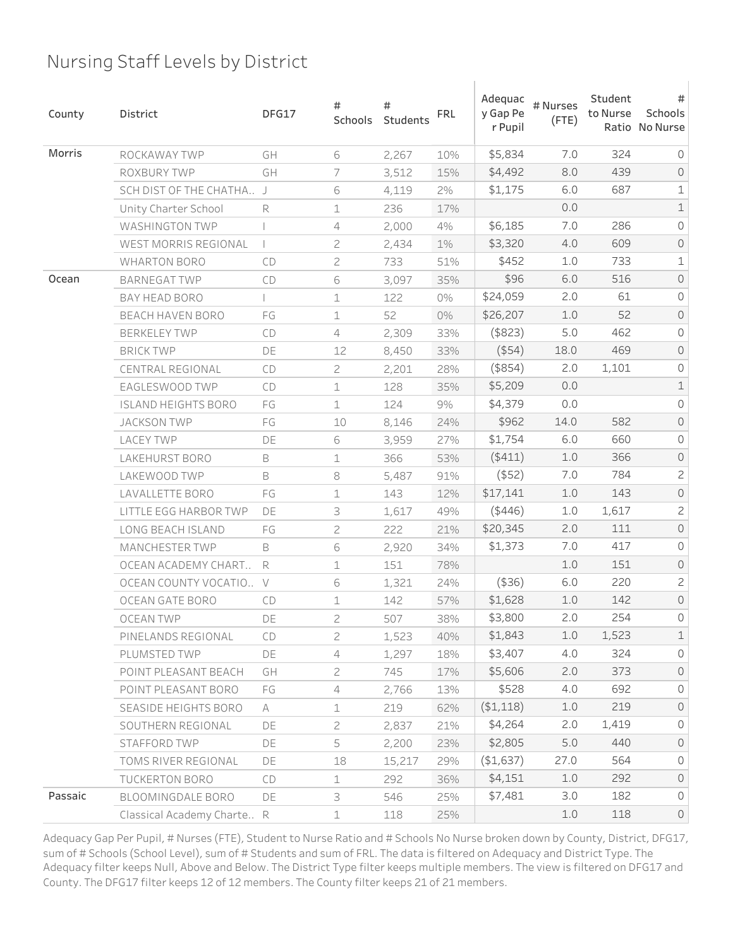| County  | District                   | DFG17     | #<br>Schools   | #<br>Students | <b>FRL</b> | Adequac<br>y Gap Pe<br>r Pupil | # Nurses<br>$($ FTE $)$ | Student<br>to Nurse | #<br>Schools<br>Ratio No Nurse |
|---------|----------------------------|-----------|----------------|---------------|------------|--------------------------------|-------------------------|---------------------|--------------------------------|
| Morris  | ROCKAWAY TWP               | GH        | 6              | 2,267         | 10%        | \$5,834                        | 7.0                     | 324                 | 0                              |
|         | ROXBURY TWP                | GH        | 7              | 3,512         | 15%        | \$4,492                        | 8.0                     | 439                 | $\mathsf{O}$                   |
|         | SCH DIST OF THE CHATHA J   |           | 6              | 4,119         | 2%         | \$1,175                        | 6.0                     | 687                 | $\mathbf 1$                    |
|         | Unity Charter School       | R         | 1              | 236           | 17%        |                                | 0.0                     |                     | $\mathbf 1$                    |
|         | <b>WASHINGTON TWP</b>      |           | 4              | 2,000         | 4%         | \$6,185                        | 7.0                     | 286                 | 0                              |
|         | WEST MORRIS REGIONAL       |           | 2              | 2,434         | 1%         | \$3,320                        | 4.0                     | 609                 | $\mathsf{O}$                   |
|         | <b>WHARTON BORO</b>        | CD        | $\overline{c}$ | 733           | 51%        | \$452                          | $1.0$                   | 733                 | $\mathbf 1$                    |
| Ocean   | <b>BARNEGAT TWP</b>        | CD        | 6              | 3,097         | 35%        | \$96                           | 6.0                     | 516                 | $\mathsf O$                    |
|         | BAY HEAD BORO              |           | 1              | 122           | 0%         | \$24,059                       | 2.0                     | 61                  | 0                              |
|         | <b>BEACH HAVEN BORO</b>    | FG        | 1              | 52            | 0%         | \$26,207                       | 1.0                     | 52                  | $\mathsf{O}$                   |
|         | <b>BERKELEY TWP</b>        | CD        | $\overline{4}$ | 2,309         | 33%        | $($ \$823 $)$                  | 5.0                     | 462                 | 0                              |
|         | <b>BRICK TWP</b>           | DE        | 12             | 8,450         | 33%        | $($ \$54 $)$                   | 18.0                    | 469                 | $\mathsf O$                    |
|         | CENTRAL REGIONAL           | CD        | $\overline{c}$ | 2,201         | 28%        | $($ \$854 $)$                  | 2.0                     | 1,101               | 0                              |
|         | EAGLESWOOD TWP             | <b>CD</b> | 1              | 128           | 35%        | \$5,209                        | 0.0                     |                     | $\mathbbm{1}$                  |
|         | <b>ISLAND HEIGHTS BORO</b> | FG        | $\mathbf 1$    | 124           | 9%         | \$4,379                        | 0.0                     |                     | 0                              |
|         | <b>JACKSON TWP</b>         | FG        | 10             | 8,146         | 24%        | \$962                          | 14.0                    | 582                 | $\mathsf O$                    |
|         | <b>LACEY TWP</b>           | DE        | 6              | 3,959         | 27%        | \$1,754                        | 6.0                     | 660                 | 0                              |
|         | LAKEHURST BORO             | B         | 1              | 366           | 53%        | ( \$411)                       | 1.0                     | 366                 | $\mathsf O$                    |
|         | LAKEWOOD TWP               | B         | 8              | 5,487         | 91%        | $($ \$52)                      | 7.0                     | 784                 | $\mathsf{S}$                   |
|         | LAVALLETTE BORO            | FG        | 1              | 143           | 12%        | \$17,141                       | 1.0                     | 143                 | $\mathsf O$                    |
|         | LITTLE EGG HARBOR TWP      | DE        | 3              | 1,617         | 49%        | $($ \$446)                     | 1.0                     | 1,617               | $\mathsf{S}$                   |
|         | LONG BEACH ISLAND          | FG        | $\overline{c}$ | 222           | 21%        | \$20,345                       | 2.0                     | 111                 | $\mathsf{O}$                   |
|         | <b>MANCHESTER TWP</b>      | B         | 6              | 2,920         | 34%        | \$1,373                        | 7.0                     | 417                 | 0                              |
|         | OCEAN ACADEMY CHART        | R         | 1              | 151           | 78%        |                                | 1.0                     | 151                 | $\mathsf{O}$                   |
|         | OCEAN COUNTY VOCATIO       | $\vee$    | 6              | 1,321         | 24%        | (436)                          | 6.0                     | 220                 | $\mathsf{S}$                   |
|         | OCEAN GATE BORO            | <b>CD</b> | 1              | 142           | 57%        | \$1,628                        | 1.0                     | 142                 | $\mathsf{O}$                   |
|         | OCEAN TWP                  | DE        | 2              | 507           | 38%        | \$3,800                        | 2.0                     | 254                 | $\circ$                        |
|         | PINELANDS REGIONAL         | CD        | $\overline{c}$ | 1,523         | 40%        | \$1,843                        | 1.0                     | 1,523               | $\mathbbm{1}$                  |
|         | PLUMSTED TWP               | DE        | 4              | 1,297         | 18%        | \$3,407                        | 4.0                     | 324                 | $\circ$                        |
|         | POINT PLEASANT BEACH       | GH        | $\overline{c}$ | 745           | 17%        | \$5,606                        | 2.0                     | 373                 | $\circ$                        |
|         | POINT PLEASANT BORO        | FG        | $\overline{4}$ | 2,766         | 13%        | \$528                          | 4.0                     | 692                 | 0                              |
|         | SEASIDE HEIGHTS BORO       | A         | $\perp$        | 219           | 62%        | ( \$1,118)                     | 1.0                     | 219                 | $\circ$                        |
|         | SOUTHERN REGIONAL          | DE        | $\overline{c}$ | 2,837         | 21%        | \$4,264                        | 2.0                     | 1,419               | $\mathsf{O}\xspace$            |
|         | STAFFORD TWP               | DE        | 5              | 2,200         | 23%        | \$2,805                        | 5.0                     | 440                 | $\circ$                        |
|         | TOMS RIVER REGIONAL        | DE        | 18             | 15,217        | 29%        | (\$1,637)                      | 27.0                    | 564                 | $\mathsf{O}\xspace$            |
|         | TUCKERTON BORO             | CD        | $\mathbf 1$    | 292           | 36%        | \$4,151                        | 1.0                     | 292                 | $\circlearrowright$            |
| Passaic | BLOOMINGDALE BORO          | DE        | 3              | 546           | 25%        | \$7,481                        | 3.0                     | 182                 | $\mathsf{O}\xspace$            |
|         | Classical Academy Charte R |           | $\perp$        | 118           | 25%        |                                | 1.0                     | 118                 | $\mathsf{O}$                   |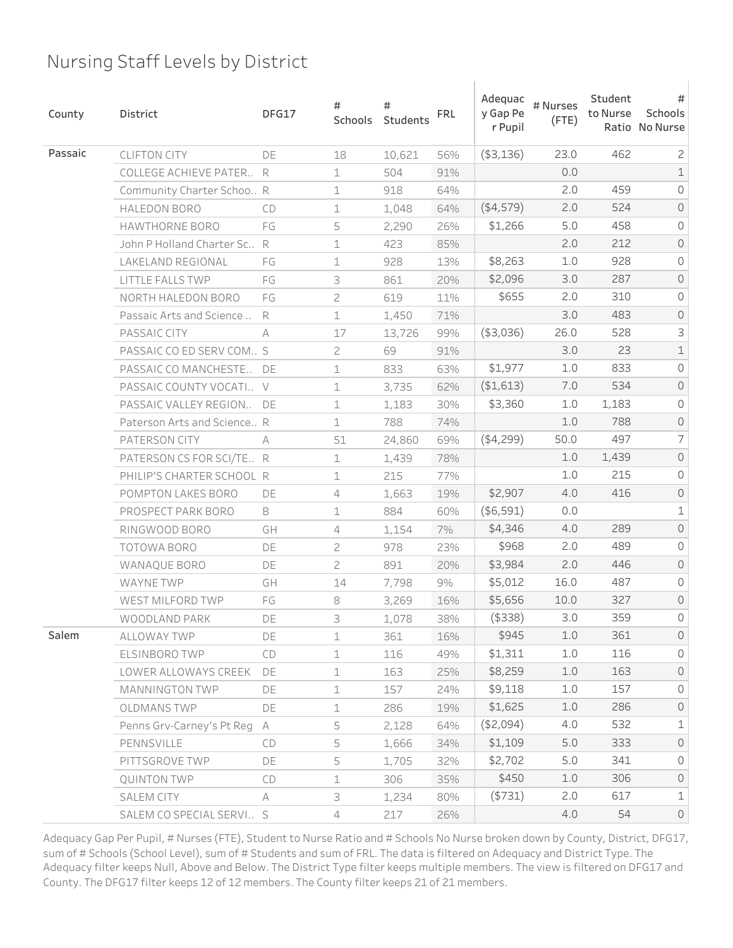| County  | District                    | DFG17  | #<br>Schools   | #<br>Students | <b>FRL</b> | Adequac<br>y Gap Pe<br>r Pupil | # Nurses<br>$($ FTE $)$ | Student<br>to Nurse | #<br>Schools<br>Ratio No Nurse |
|---------|-----------------------------|--------|----------------|---------------|------------|--------------------------------|-------------------------|---------------------|--------------------------------|
| Passaic | <b>CLIFTON CITY</b>         | DE     | 18             | 10,621        | 56%        | ( \$3,136)                     | 23.0                    | 462                 | $\mathbf{Z}$                   |
|         | COLLEGE ACHIEVE PATER       | R      | 1              | 504           | 91%        |                                | 0.0                     |                     | $\mathbf 1$                    |
|         | Community Charter Schoo R   |        | 1              | 918           | 64%        |                                | 2.0                     | 459                 | 0                              |
|         | <b>HALEDON BORO</b>         | CD     | 1              | 1,048         | 64%        | ( \$4,579)                     | 2.0                     | 524                 | $\mathsf O$                    |
|         | HAWTHORNE BORO              | FG     | 5              | 2,290         | 26%        | \$1,266                        | 5.0                     | 458                 | 0                              |
|         | John P Holland Charter Sc., | R      | 1              | 423           | 85%        |                                | 2.0                     | 212                 | $\mathsf{O}$                   |
|         | LAKELAND REGIONAL           | FG     | 1              | 928           | 13%        | \$8,263                        | $1.0$                   | 928                 | 0                              |
|         | LITTLE FALLS TWP            | FG     | 3              | 861           | 20%        | \$2,096                        | 3.0                     | 287                 | $\mathsf O$                    |
|         | NORTH HALEDON BORO          | FG     | 2              | 619           | 11%        | \$655                          | 2.0                     | 310                 | 0                              |
|         | Passaic Arts and Science    | R      | $\mathbf 1$    | 1,450         | 71%        |                                | 3.0                     | 483                 | $\mathsf O$                    |
|         | PASSAIC CITY                | A      | 17             | 13,726        | 99%        | ( \$3,036)                     | 26.0                    | 528                 | 3                              |
|         | PASSAIC CO ED SERV COM S    |        | $\overline{c}$ | 69            | 91%        |                                | 3.0                     | 23                  | $\mathbbm{1}$                  |
|         | PASSAIC CO MANCHESTE        | DE     | 1              | 833           | 63%        | \$1,977                        | 1.0                     | 833                 | 0                              |
|         | PASSAIC COUNTY VOCATI       | $\vee$ | 1              | 3,735         | 62%        | ( \$1,613)                     | 7.0                     | 534                 | $\mathsf O$                    |
|         | PASSAIC VALLEY REGION       | DE     | 1              | 1,183         | 30%        | \$3,360                        | $1.0$                   | 1,183               | 0                              |
|         | Paterson Arts and Science R |        | $\mathbf 1$    | 788           | 74%        |                                | $1.0$                   | 788                 | $\mathsf O$                    |
|         | PATERSON CITY               | A      | 51             | 24,860        | 69%        | (4,299)                        | 50.0                    | 497                 | $\overline{\phantom{a}}$       |
|         | PATERSON CS FOR SCI/TE R    |        | 1              | 1,439         | 78%        |                                | 1.0                     | 1,439               | $\mathsf O$                    |
|         | PHILIP'S CHARTER SCHOOL R   |        | 1              | 215           | 77%        |                                | 1.0                     | 215                 | 0                              |
|         | POMPTON LAKES BORO          | DE     | 4              | 1,663         | 19%        | \$2,907                        | 4.0                     | 416                 | $\mathsf O$                    |
|         | PROSPECT PARK BORO          | B      | 1              | 884           | 60%        | ( \$6,591)                     | 0.0                     |                     | $\mathbf 1$                    |
|         | RINGWOOD BORO               | GH     | 4              | 1,154         | 7%         | \$4,346                        | 4.0                     | 289                 | $\mathsf{O}$                   |
|         | TOTOWA BORO                 | DE     | 2              | 978           | 23%        | \$968                          | 2.0                     | 489                 | 0                              |
|         | WANAQUE BORO                | DE     | $\overline{c}$ | 891           | 20%        | \$3,984                        | 2.0                     | 446                 | $\mathsf{O}$                   |
|         | <b>WAYNE TWP</b>            | GH     | 14             | 7,798         | 9%         | \$5,012                        | 16.0                    | 487                 | 0                              |
|         | WEST MILFORD TWP            | FG     | 8              | 3,269         | 16%        | \$5,656                        | 10.0                    | 327                 | $\mathsf{O}$                   |
|         | WOODLAND PARK               | DE     | З              | 1,078         | 38%        | $($ \$338)                     | 3.0                     | 359                 | 0                              |
| Salem   | <b>ALLOWAY TWP</b>          | DE     | $\mathbf 1$    | 361           | 16%        | \$945                          | $1.0$                   | 361                 | $\mathsf{O}$                   |
|         | ELSINBORO TWP               | CD     | 1              | 116           | 49%        | \$1,311                        | 1.0                     | 116                 | $\circ$                        |
|         | LOWER ALLOWAYS CREEK        | DE     | $\mathbf 1$    | 163           | 25%        | \$8,259                        | $1.0$                   | 163                 | $\circ$                        |
|         | <b>MANNINGTON TWP</b>       | DE     | $\mathbf 1$    | 157           | 24%        | \$9,118                        | 1.0                     | 157                 | $\mathsf{O}\xspace$            |
|         | <b>OLDMANSTWP</b>           | DE     | $\mathbf 1$    | 286           | 19%        | \$1,625                        | $1.0$                   | 286                 | $\circ$                        |
|         | Penns Grv-Carney's Pt Reg   | A      | 5              | 2,128         | 64%        | (\$2,094)                      | 4.0                     | 532                 | $\mathbf 1$                    |
|         | PENNSVILLE                  | CD     | 5              | 1,666         | 34%        | \$1,109                        | 5.0                     | 333                 | $\circ$                        |
|         | PITTSGROVE TWP              | DE     | 5              | 1,705         | 32%        | \$2,702                        | 5.0                     | 341                 | $\mathsf{O}\xspace$            |
|         | <b>QUINTON TWP</b>          | CD     | $\mathbf 1$    | 306           | 35%        | \$450                          | $1.0$                   | 306                 | $\circ$                        |
|         | SALEM CITY                  | A      | 3              | 1,234         | 80%        | ( \$731)                       | 2.0                     | 617                 | $\mathbf 1$                    |
|         | SALEM CO SPECIAL SERVI S    |        | $\overline{4}$ | 217           | 26%        |                                | 4.0                     | 54                  | $\mathsf{O}$                   |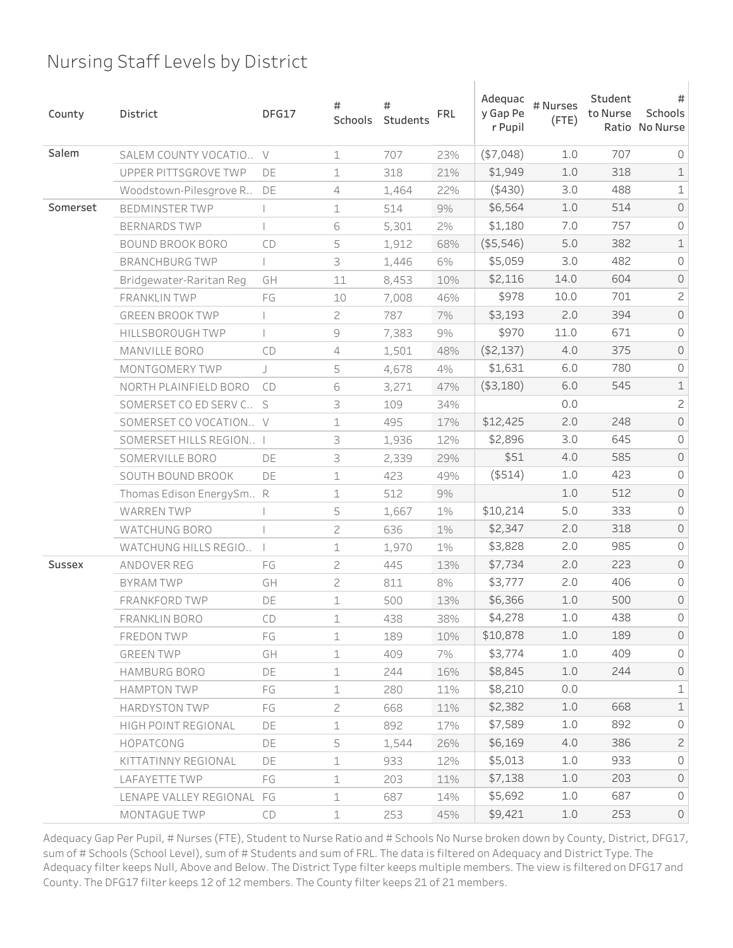| County        | District                  | DFG17 | #<br>Schools   | #<br>Students | <b>FRL</b> | Adequac<br>y Gap Pe<br>r Pupil | # Nurses<br>$($ FTE $)$ | Student<br>to Nurse | #<br>Schools<br>Ratio No Nurse |
|---------------|---------------------------|-------|----------------|---------------|------------|--------------------------------|-------------------------|---------------------|--------------------------------|
| Salem         | SALEM COUNTY VOCATIO V    |       | $\mathbf 1$    | 707           | 23%        | (\$7,048)                      | 1.0                     | 707                 | $\circ$                        |
|               | UPPER PITTSGROVE TWP      | DE    | 1              | 318           | 21%        | \$1,949                        | 1.0                     | 318                 | $\mathbf 1$                    |
|               | Woodstown-Pilesgrove R    | DE    | 4              | 1,464         | 22%        | (430)                          | 3.0                     | 488                 | $\mathbf 1$                    |
| Somerset      | <b>BEDMINSTER TWP</b>     |       | 1              | 514           | 9%         | \$6,564                        | $1.0$                   | 514                 | $\mathsf O$                    |
|               | <b>BERNARDS TWP</b>       |       | 6              | 5,301         | 2%         | \$1,180                        | 7.0                     | 757                 | 0                              |
|               | BOUND BROOK BORO          | CD    | 5              | 1,912         | 68%        | ( \$5,546)                     | 5.0                     | 382                 | $\mathbf 1$                    |
|               | <b>BRANCHBURG TWP</b>     |       | 3              | 1,446         | 6%         | \$5,059                        | 3.0                     | 482                 | 0                              |
|               | Bridgewater-Raritan Reg   | GH    | 11             | 8,453         | 10%        | \$2,116                        | 14.0                    | 604                 | $\mathsf O$                    |
|               | FRANKLIN TWP              | FG    | 10             | 7,008         | 46%        | \$978                          | 10.0                    | 701                 | $\mathbf{Z}$                   |
|               | <b>GREEN BROOK TWP</b>    |       | 2              | 787           | 7%         | \$3,193                        | 2.0                     | 394                 | $\mathsf O$                    |
|               | HILLSBOROUGH TWP          |       | $\mathcal G$   | 7,383         | 9%         | \$970                          | 11.0                    | 671                 | 0                              |
|               | MANVILLE BORO             | CD    | $\overline{4}$ | 1,501         | 48%        | ( \$2,137)                     | 4.0                     | 375                 | $\mathsf O$                    |
|               | MONTGOMERY TWP            | J     | 5              | 4,678         | 4%         | \$1,631                        | 6.0                     | 780                 | 0                              |
|               | NORTH PLAINFIELD BORO     | CD    | 6              | 3,271         | 47%        | ( \$3,180)                     | 6.0                     | 545                 | $\mathbf 1$                    |
|               | SOMERSET CO ED SERV C S   |       | 3              | 109           | 34%        |                                | 0.0                     |                     | $\overline{c}$                 |
|               | SOMERSET CO VOCATION V    |       | 1              | 495           | 17%        | \$12,425                       | 2.0                     | 248                 | $\mathsf O$                    |
|               | SOMERSET HILLS REGION I   |       | 3              | 1,936         | 12%        | \$2,896                        | 3.0                     | 645                 | 0                              |
|               | SOMERVILLE BORO           | DE    | 3              | 2,339         | 29%        | \$51                           | 4.0                     | 585                 | $\mathsf O$                    |
|               | SOUTH BOUND BROOK         | DE    | 1              | 423           | 49%        | $($ \$514 $)$                  | 1.0                     | 423                 | 0                              |
|               | Thomas Edison EnergySm R  |       | 1              | 512           | 9%         |                                | 1.0                     | 512                 | $\mathsf O$                    |
|               | <b>WARREN TWP</b>         |       | 5              | 1,667         | 1%         | \$10,214                       | 5.0                     | 333                 | 0                              |
|               | WATCHUNG BORO             |       | 2              | 636           | $1\%$      | \$2,347                        | 2.0                     | 318                 | $\mathsf{O}$                   |
|               | WATCHUNG HILLS REGIO      |       | 1              | 1,970         | 1%         | \$3,828                        | 2.0                     | 985                 | 0                              |
| <b>Sussex</b> | ANDOVER REG               | FG    | 2              | 445           | 13%        | \$7,734                        | 2.0                     | 223                 | $\mathsf{O}$                   |
|               | <b>BYRAM TWP</b>          | GH    | $\overline{c}$ | 811           | 8%         | \$3,777                        | 2.0                     | 406                 | 0                              |
|               | FRANKFORD TWP             | DE    | 1              | 500           | 13%        | \$6,366                        | $1.0$                   | 500                 | $\mathsf{O}$                   |
|               | FRANKLIN BORO             | CD    | 1              | 438           | 38%        | \$4,278                        | 1.0                     | 438                 | 0                              |
|               | <b>FREDON TWP</b>         | FG    | $\mathbf 1$    | 189           | 10%        | \$10,878                       | 1.0                     | 189                 | $\circ$                        |
|               | GREEN TWP                 | GH    | $\mathbf 1$    | 409           | 7%         | \$3,774                        | 1.0                     | 409                 | $\circ$                        |
|               | HAMBURG BORO              | DE    | $\perp$        | 244           | 16%        | \$8,845                        | 1.0                     | 244                 | $\circ$                        |
|               | <b>HAMPTON TWP</b>        | FG    | $\mathbf 1$    | 280           | 11%        | \$8,210                        | 0.0                     |                     | $\mathbf 1$                    |
|               | <b>HARDYSTON TWP</b>      | FG    | $\overline{c}$ | 668           | 11%        | \$2,382                        | 1.0                     | 668                 | $\mathbf 1$                    |
|               | HIGH POINT REGIONAL       | DE    | $\mathbf 1$    | 892           | 17%        | \$7,589                        | 1.0                     | 892                 | $\circledcirc$                 |
|               | HOPATCONG                 | DE    | 5              | 1,544         | 26%        | \$6,169                        | 4.0                     | 386                 | $\mathbf{2}$                   |
|               | KITTATINNY REGIONAL       | DE    | $\mathbf 1$    | 933           | 12%        | \$5,013                        | 1.0                     | 933                 | $\circledcirc$                 |
|               | LAFAYETTE TWP             | FG    | $\mathbf 1$    | 203           | 11%        | \$7,138                        | 1.0                     | 203                 | $\circ$                        |
|               | LENAPE VALLEY REGIONAL FG |       | $\mathbf 1$    | 687           | 14%        | \$5,692                        | 1.0                     | 687                 | $\circlearrowright$            |
|               | MONTAGUE TWP              | CD    | $\mathbf 1$    | 253           | 45%        | \$9,421                        | 1.0                     | 253                 | $\circledcirc$                 |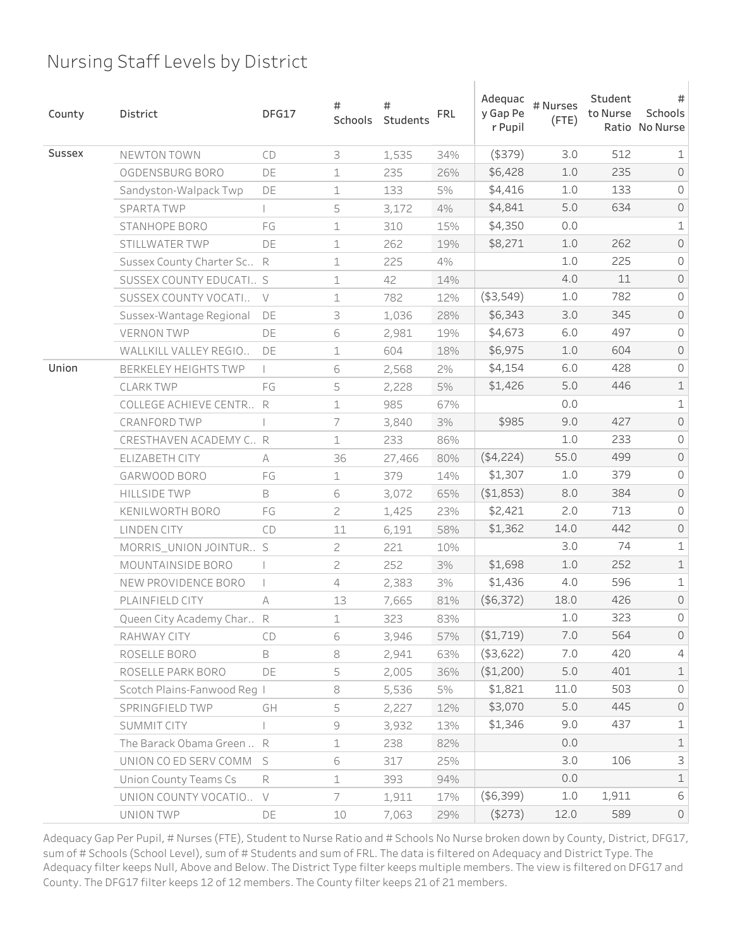| County | District                       | DFG17  | #<br>Schools   | #<br>Students | <b>FRL</b> | Adequac<br>y Gap Pe<br>r Pupil | # Nurses<br>$($ FTE $)$ | Student<br>to Nurse | #<br>Schools<br>Ratio No Nurse |
|--------|--------------------------------|--------|----------------|---------------|------------|--------------------------------|-------------------------|---------------------|--------------------------------|
| Sussex | NEWTON TOWN                    | CD     | 3              | 1,535         | 34%        | $($ \$379 $)$                  | 3.0                     | 512                 | 1                              |
|        | OGDENSBURG BORO                | DE     | $\mathbf 1$    | 235           | 26%        | \$6,428                        | 1.0                     | 235                 | $\mathsf{O}$                   |
|        | Sandyston-Walpack Twp          | DE     | $\mathbf 1$    | 133           | 5%         | \$4,416                        | $1.0$                   | 133                 | 0                              |
|        | <b>SPARTA TWP</b>              |        | 5              | 3,172         | 4%         | \$4,841                        | 5.0                     | 634                 | $\mathsf O$                    |
|        | STANHOPE BORO                  | FG     | 1              | 310           | 15%        | \$4,350                        | 0.0                     |                     | $\mathbf 1$                    |
|        | STILLWATER TWP                 | DE     | 1              | 262           | 19%        | \$8,271                        | 1.0                     | 262                 | $\mathsf{O}$                   |
|        | Sussex County Charter Sc       | R      | 1              | 225           | 4%         |                                | 1.0                     | 225                 | 0                              |
|        | SUSSEX COUNTY EDUCATI S        |        | $\mathbf 1$    | 42            | 14%        |                                | 4.0                     | 11                  | $\mathsf O$                    |
|        | SUSSEX COUNTY VOCATI           | $\vee$ | 1              | 782           | 12%        | ( \$3,549)                     | 1.0                     | 782                 | 0                              |
|        | Sussex-Wantage Regional        | DE     | 3              | 1,036         | 28%        | \$6,343                        | 3.0                     | 345                 | $\mathsf{O}$                   |
|        | <b>VERNON TWP</b>              | DE     | 6              | 2,981         | 19%        | \$4,673                        | 6.0                     | 497                 | 0                              |
|        | WALLKILL VALLEY REGIO          | DE     | $\mathbf 1$    | 604           | 18%        | \$6,975                        | $1.0$                   | 604                 | $\mathsf O$                    |
| Union  | <b>BERKELEY HEIGHTS TWP</b>    |        | 6              | 2,568         | 2%         | \$4,154                        | 6.0                     | 428                 | 0                              |
|        | <b>CLARK TWP</b>               | FG     | 5              | 2,228         | 5%         | \$1,426                        | 5.0                     | 446                 | $\mathbf 1$                    |
|        | <b>COLLEGE ACHIEVE CENTR R</b> |        | $\mathbf 1$    | 985           | 67%        |                                | 0.0                     |                     | $\mathbf 1$                    |
|        | CRANFORD TWP                   |        | 7              | 3,840         | 3%         | \$985                          | 9.0                     | 427                 | $\mathsf O$                    |
|        | CRESTHAVEN ACADEMY C., R       |        | $\mathbf 1$    | 233           | 86%        |                                | 1.0                     | 233                 | 0                              |
|        | ELIZABETH CITY                 | A      | 36             | 27,466        | 80%        | (4,224)                        | 55.0                    | 499                 | $\mathsf O$                    |
|        | GARWOOD BORO                   | FG     | $\mathbf 1$    | 379           | 14%        | \$1,307                        | 1.0                     | 379                 | 0                              |
|        | <b>HILLSIDE TWP</b>            | B      | 6              | 3,072         | 65%        | ( \$1,853)                     | 8.0                     | 384                 | $\mathsf O$                    |
|        | KENILWORTH BORO                | FG     | $\overline{c}$ | 1,425         | 23%        | \$2,421                        | 2.0                     | 713                 | $\mathsf O$                    |
|        | <b>LINDEN CITY</b>             | CD     | 11             | 6,191         | 58%        | \$1,362                        | 14.0                    | 442                 | $\mathsf{O}$                   |
|        | MORRIS_UNION JOINTUR S         |        | $\mathcal{Z}$  | 221           | 10%        |                                | 3.0                     | 74                  | $\mathbf 1$                    |
|        | MOUNTAINSIDE BORO              |        | 2              | 252           | 3%         | \$1,698                        | $1.0$                   | 252                 | $\mathbf 1$                    |
|        | NEW PROVIDENCE BORO            |        | 4              | 2,383         | 3%         | \$1,436                        | 4.0                     | 596                 | $\mathbf 1$                    |
|        | PLAINFIELD CITY                | А      | 13             | 7,665         | 81%        | (\$6,372)                      | 18.0                    | 426                 | $\mathsf{O}$                   |
|        | Queen City Academy Char R      |        | 1              | 323           | 83%        |                                | 1.0                     | 323                 | 0                              |
|        | RAHWAY CITY                    | CD     | 6              | 3,946         | 57%        | (\$1,719)                      | 7.0                     | 564                 | $\mathsf{O}$                   |
|        | ROSELLE BORO                   | B      | 8              | 2,941         | 63%        | $($ \$3,622)                   | 7.0                     | 420                 | 4                              |
|        | ROSELLE PARK BORO              | DE     | 5              | 2,005         | 36%        | (\$1,200)                      | 5.0                     | 401                 | $\mathbf 1$                    |
|        | Scotch Plains-Fanwood Req I    |        | 8              | 5,536         | 5%         | \$1,821                        | 11.0                    | 503                 | $\mathsf{O}$                   |
|        | SPRINGFIELD TWP                | GH     | 5              | 2,227         | 12%        | \$3,070                        | 5.0                     | 445                 | $\circ$                        |
|        | SUMMIT CITY                    |        | $\Theta$       | 3,932         | 13%        | \$1,346                        | 9.0                     | 437                 | $\mathbf 1$                    |
|        | The Barack Obama Green  R      |        | $\perp$        | 238           | 82%        |                                | 0.0                     |                     | $\mathbf 1$                    |
|        | UNION CO ED SERV COMM          | S      | 6              | 317           | 25%        |                                | 3.0                     | 106                 | 3                              |
|        | Union County Teams Cs          | R      | $\mathbf 1$    | 393           | 94%        |                                | 0.0                     |                     | $\mathbf 1$                    |
|        | UNION COUNTY VOCATIO           | $\vee$ | 7              | 1,911         | 17%        | ( \$6,399)                     | 1.0                     | 1,911               | 6                              |
|        | UNION TWP                      | DE     | 10             | 7,063         | 29%        | $($ \$273)                     | 12.0                    | 589                 | $\circlearrowright$            |